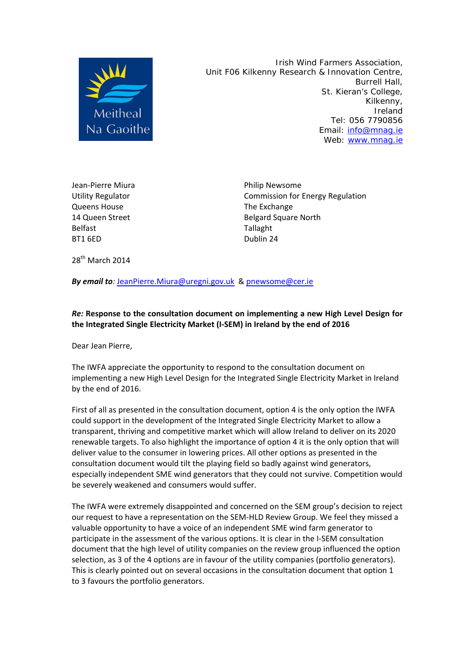

 Irish Wind Farmers Association, Unit F06 Kilkenny Research & Innovation Centre, Burrell Hall, St. Kieran's College, Kilkenny, Ireland Tel: 056 7790856 Email: info@mnag.ie Web: www.mnag.ie

Jean‐Pierre Miura Philip Newsome Queens House **Canadian Contract Contract Contract Contract Contract Contract Contract Contract Contract Contract Contract Contract Contract Contract Contract Contract Contract Contract Contract Contract Contract Contract C** Belfast Tallaght BT1 6ED Dublin 24

Utility Regulator **Commission for Energy Regulation** 14 Queen Street **14 Due 20 Apr 20 Apr 20 Apr 20 Apr 20 Apr 20 Apr 20 Apr 20 Apr 20 Apr 20 Apr 20 Apr 20 Apr 20** 

 $28^{th}$  March  $2014$ 

*By email to:* JeanPierre.Miura@uregni.gov.uk & pnewsome@cer.ie

#### *Re:* **Response to the consultation document on implementing a new High Level Design for the Integrated Single Electricity Market (I‐SEM) in Ireland by the end of 2016**

Dear Jean Pierre,

The IWFA appreciate the opportunity to respond to the consultation document on implementing a new High Level Design for the Integrated Single Electricity Market in Ireland by the end of 2016.

First of all as presented in the consultation document, option 4 is the only option the IWFA could support in the development of the Integrated Single Electricity Market to allow a transparent, thriving and competitive market which will allow Ireland to deliver on its 2020 renewable targets. To also highlight the importance of option 4 it is the only option that will deliver value to the consumer in lowering prices. All other options as presented in the consultation document would tilt the playing field so badly against wind generators, especially independent SME wind generators that they could not survive. Competition would be severely weakened and consumers would suffer.

The IWFA were extremely disappointed and concerned on the SEM group's decision to reject our request to have a representation on the SEM‐HLD Review Group. We feel they missed a valuable opportunity to have a voice of an independent SME wind farm generator to participate in the assessment of the various options. It is clear in the I‐SEM consultation document that the high level of utility companies on the review group influenced the option selection, as 3 of the 4 options are in favour of the utility companies (portfolio generators). This is clearly pointed out on several occasions in the consultation document that option 1 to 3 favours the portfolio generators.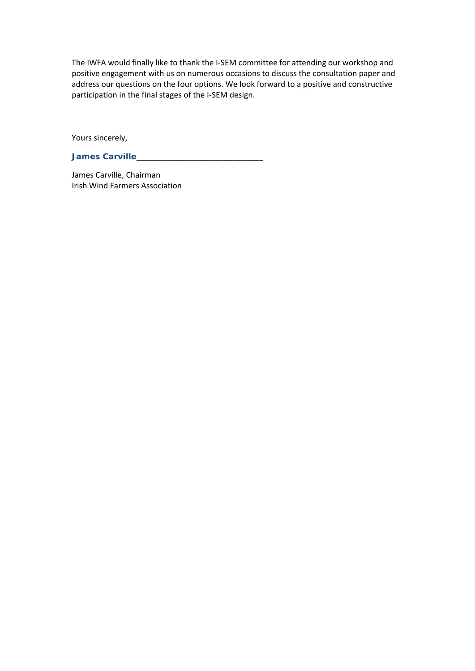The IWFA would finally like to thank the I‐SEM committee for attending our workshop and positive engagement with us on numerous occasions to discuss the consultation paper and address our questions on the four options. We look forward to a positive and constructive participation in the final stages of the I‐SEM design.

Yours sincerely,

**James Carville**\_\_\_\_\_\_\_\_\_\_\_\_\_\_\_\_\_\_\_\_\_\_\_\_\_\_\_\_\_

James Carville, Chairman Irish Wind Farmers Association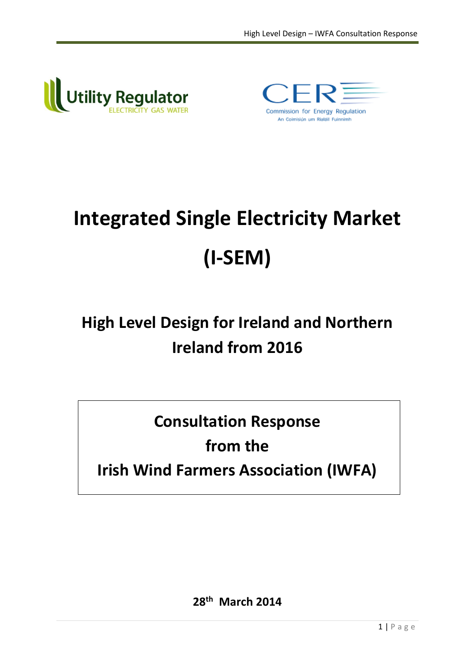



# **Integrated Single Electricity Market (I-SEM)**

# **High Level Design for Ireland and Northern Ireland from 2016**

**Consultation Response**

# **from the**

# **Irish Wind Farmers Association (IWFA)**

**28 th March 2014**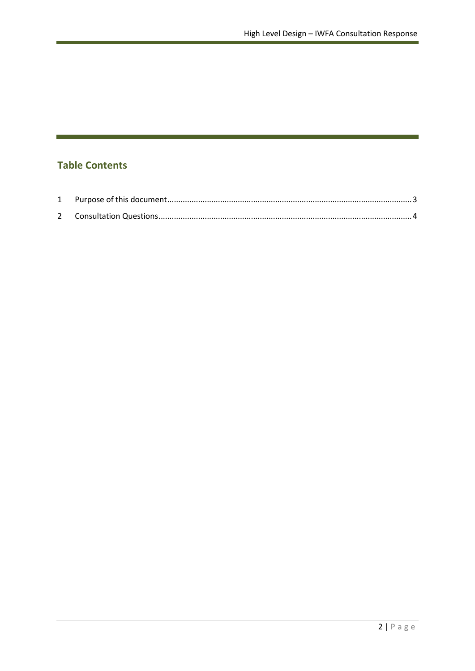# **Table Contents**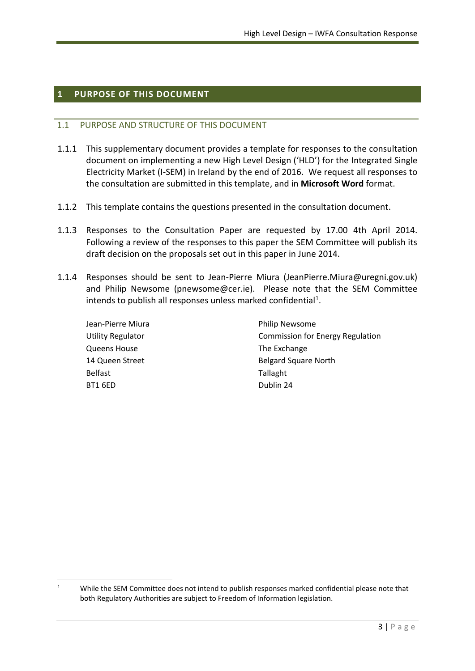#### <span id="page-4-0"></span>**1 PURPOSE OF THIS DOCUMENT**

 $\overline{a}$ 

#### 1.1 PURPOSE AND STRUCTURE OF THIS DOCUMENT

- 1.1.1 This supplementary document provides a template for responses to the consultation document on implementing a new High Level Design ('HLD') for the Integrated Single Electricity Market (I-SEM) in Ireland by the end of 2016. We request all responses to the consultation are submitted in this template, and in **Microsoft Word** format.
- 1.1.2 This template contains the questions presented in the consultation document.
- 1.1.3 Responses to the Consultation Paper are requested by 17.00 4th April 2014. Following a review of the responses to this paper the SEM Committee will publish its draft decision on the proposals set out in this paper in June 2014.
- 1.1.4 Responses should be sent to Jean-Pierre Miura (JeanPierre.Miura@uregni.gov.uk) and Philip Newsome (pnewsome@cer.ie). Please note that the SEM Committee intends to publish all responses unless marked confidential<sup>1</sup>.

| Jean-Pierre Miura        | <b>Philip Newsome</b>                   |
|--------------------------|-----------------------------------------|
| <b>Utility Regulator</b> | <b>Commission for Energy Regulation</b> |
| <b>Queens House</b>      | The Exchange                            |
| 14 Queen Street          | <b>Belgard Square North</b>             |
| <b>Belfast</b>           | Tallaght                                |
| BT1 6ED                  | Dublin 24                               |

<sup>&</sup>lt;sup>1</sup> While the SEM Committee does not intend to publish responses marked confidential please note that both Regulatory Authorities are subject to Freedom of Information legislation.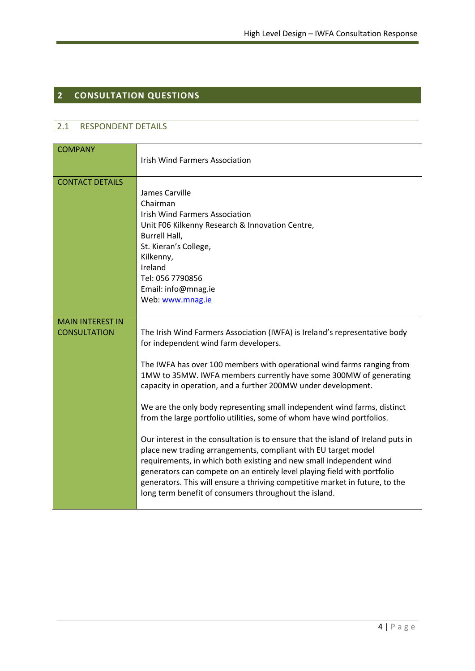# <span id="page-5-0"></span>**2 CONSULTATION QUESTIONS**

#### 2.1 RESPONDENT DETAILS

| <b>COMPANY</b>                                 | <b>Irish Wind Farmers Association</b>                                                                                                                                                                                                                                                                                                                                                                                                                                                                                                                                                                                                                                                                                                                                                                                                                                                                                                       |
|------------------------------------------------|---------------------------------------------------------------------------------------------------------------------------------------------------------------------------------------------------------------------------------------------------------------------------------------------------------------------------------------------------------------------------------------------------------------------------------------------------------------------------------------------------------------------------------------------------------------------------------------------------------------------------------------------------------------------------------------------------------------------------------------------------------------------------------------------------------------------------------------------------------------------------------------------------------------------------------------------|
| <b>CONTACT DETAILS</b>                         | James Carville<br>Chairman<br><b>Irish Wind Farmers Association</b><br>Unit F06 Kilkenny Research & Innovation Centre,<br>Burrell Hall,<br>St. Kieran's College,<br>Kilkenny,<br>Ireland<br>Tel: 056 7790856<br>Email: info@mnag.ie<br>Web: www.mnag.ie                                                                                                                                                                                                                                                                                                                                                                                                                                                                                                                                                                                                                                                                                     |
| <b>MAIN INTEREST IN</b><br><b>CONSULTATION</b> | The Irish Wind Farmers Association (IWFA) is Ireland's representative body<br>for independent wind farm developers.<br>The IWFA has over 100 members with operational wind farms ranging from<br>1MW to 35MW. IWFA members currently have some 300MW of generating<br>capacity in operation, and a further 200MW under development.<br>We are the only body representing small independent wind farms, distinct<br>from the large portfolio utilities, some of whom have wind portfolios.<br>Our interest in the consultation is to ensure that the island of Ireland puts in<br>place new trading arrangements, compliant with EU target model<br>requirements, in which both existing and new small independent wind<br>generators can compete on an entirely level playing field with portfolio<br>generators. This will ensure a thriving competitive market in future, to the<br>long term benefit of consumers throughout the island. |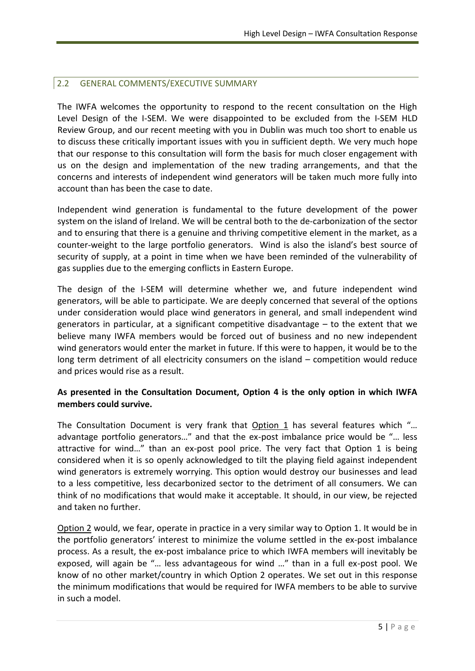#### 2.2 GENERAL COMMENTS/EXECUTIVE SUMMARY

The IWFA welcomes the opportunity to respond to the recent consultation on the High Level Design of the I-SEM. We were disappointed to be excluded from the I-SEM HLD Review Group, and our recent meeting with you in Dublin was much too short to enable us to discuss these critically important issues with you in sufficient depth. We very much hope that our response to this consultation will form the basis for much closer engagement with us on the design and implementation of the new trading arrangements, and that the concerns and interests of independent wind generators will be taken much more fully into account than has been the case to date.

Independent wind generation is fundamental to the future development of the power system on the island of Ireland. We will be central both to the de-carbonization of the sector and to ensuring that there is a genuine and thriving competitive element in the market, as a counter-weight to the large portfolio generators. Wind is also the island's best source of security of supply, at a point in time when we have been reminded of the vulnerability of gas supplies due to the emerging conflicts in Eastern Europe.

The design of the I-SEM will determine whether we, and future independent wind generators, will be able to participate. We are deeply concerned that several of the options under consideration would place wind generators in general, and small independent wind generators in particular, at a significant competitive disadvantage – to the extent that we believe many IWFA members would be forced out of business and no new independent wind generators would enter the market in future. If this were to happen, it would be to the long term detriment of all electricity consumers on the island – competition would reduce and prices would rise as a result.

#### **As presented in the Consultation Document, Option 4 is the only option in which IWFA members could survive.**

The Consultation Document is very frank that Option 1 has several features which "… advantage portfolio generators…" and that the ex-post imbalance price would be "… less attractive for wind…" than an ex-post pool price. The very fact that Option 1 is being considered when it is so openly acknowledged to tilt the playing field against independent wind generators is extremely worrying. This option would destroy our businesses and lead to a less competitive, less decarbonized sector to the detriment of all consumers. We can think of no modifications that would make it acceptable. It should, in our view, be rejected and taken no further.

Option 2 would, we fear, operate in practice in a very similar way to Option 1. It would be in the portfolio generators' interest to minimize the volume settled in the ex-post imbalance process. As a result, the ex-post imbalance price to which IWFA members will inevitably be exposed, will again be "… less advantageous for wind …" than in a full ex-post pool. We know of no other market/country in which Option 2 operates. We set out in this response the minimum modifications that would be required for IWFA members to be able to survive in such a model.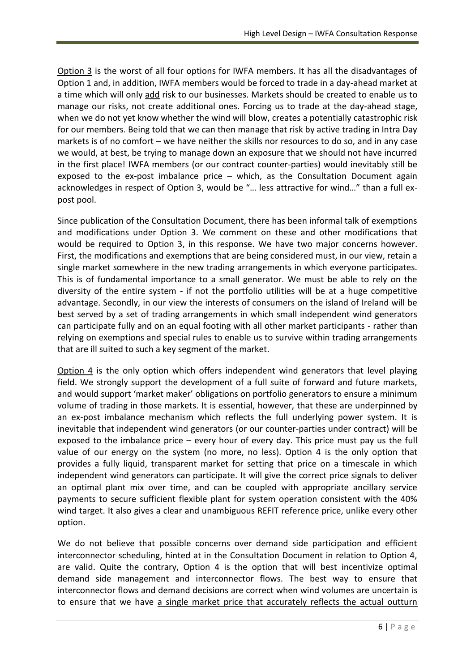Option 3 is the worst of all four options for IWFA members. It has all the disadvantages of Option 1 and, in addition, IWFA members would be forced to trade in a day-ahead market at a time which will only add risk to our businesses. Markets should be created to enable us to manage our risks, not create additional ones. Forcing us to trade at the day-ahead stage, when we do not yet know whether the wind will blow, creates a potentially catastrophic risk for our members. Being told that we can then manage that risk by active trading in Intra Day markets is of no comfort – we have neither the skills nor resources to do so, and in any case we would, at best, be trying to manage down an exposure that we should not have incurred in the first place! IWFA members (or our contract counter-parties) would inevitably still be exposed to the ex-post imbalance price – which, as the Consultation Document again acknowledges in respect of Option 3, would be "… less attractive for wind…" than a full expost pool.

Since publication of the Consultation Document, there has been informal talk of exemptions and modifications under Option 3. We comment on these and other modifications that would be required to Option 3, in this response. We have two major concerns however. First, the modifications and exemptions that are being considered must, in our view, retain a single market somewhere in the new trading arrangements in which everyone participates. This is of fundamental importance to a small generator. We must be able to rely on the diversity of the entire system - if not the portfolio utilities will be at a huge competitive advantage. Secondly, in our view the interests of consumers on the island of Ireland will be best served by a set of trading arrangements in which small independent wind generators can participate fully and on an equal footing with all other market participants - rather than relying on exemptions and special rules to enable us to survive within trading arrangements that are ill suited to such a key segment of the market.

Option 4 is the only option which offers independent wind generators that level playing field. We strongly support the development of a full suite of forward and future markets, and would support 'market maker' obligations on portfolio generators to ensure a minimum volume of trading in those markets. It is essential, however, that these are underpinned by an ex-post imbalance mechanism which reflects the full underlying power system. It is inevitable that independent wind generators (or our counter-parties under contract) will be exposed to the imbalance price – every hour of every day. This price must pay us the full value of our energy on the system (no more, no less). Option 4 is the only option that provides a fully liquid, transparent market for setting that price on a timescale in which independent wind generators can participate. It will give the correct price signals to deliver an optimal plant mix over time, and can be coupled with appropriate ancillary service payments to secure sufficient flexible plant for system operation consistent with the 40% wind target. It also gives a clear and unambiguous REFIT reference price, unlike every other option.

We do not believe that possible concerns over demand side participation and efficient interconnector scheduling, hinted at in the Consultation Document in relation to Option 4, are valid. Quite the contrary, Option 4 is the option that will best incentivize optimal demand side management and interconnector flows. The best way to ensure that interconnector flows and demand decisions are correct when wind volumes are uncertain is to ensure that we have a single market price that accurately reflects the actual outturn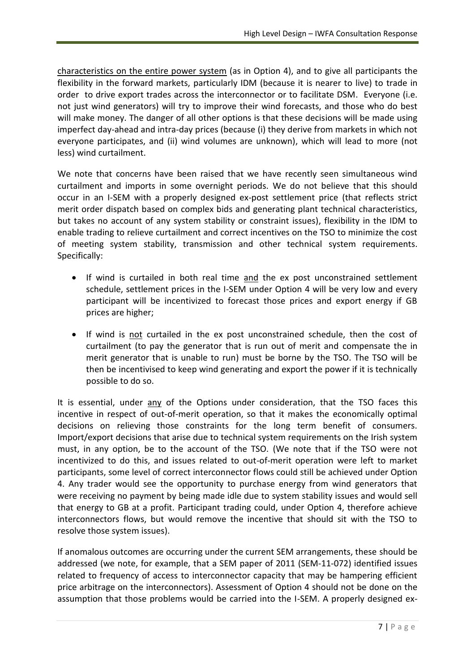characteristics on the entire power system (as in Option 4), and to give all participants the flexibility in the forward markets, particularly IDM (because it is nearer to live) to trade in order to drive export trades across the interconnector or to facilitate DSM. Everyone (i.e. not just wind generators) will try to improve their wind forecasts, and those who do best will make money. The danger of all other options is that these decisions will be made using imperfect day-ahead and intra-day prices (because (i) they derive from markets in which not everyone participates, and (ii) wind volumes are unknown), which will lead to more (not less) wind curtailment.

We note that concerns have been raised that we have recently seen simultaneous wind curtailment and imports in some overnight periods. We do not believe that this should occur in an I-SEM with a properly designed ex-post settlement price (that reflects strict merit order dispatch based on complex bids and generating plant technical characteristics, but takes no account of any system stability or constraint issues), flexibility in the IDM to enable trading to relieve curtailment and correct incentives on the TSO to minimize the cost of meeting system stability, transmission and other technical system requirements. Specifically:

- If wind is curtailed in both real time and the ex post unconstrained settlement schedule, settlement prices in the I-SEM under Option 4 will be very low and every participant will be incentivized to forecast those prices and export energy if GB prices are higher;
- If wind is not curtailed in the ex post unconstrained schedule, then the cost of curtailment (to pay the generator that is run out of merit and compensate the in merit generator that is unable to run) must be borne by the TSO. The TSO will be then be incentivised to keep wind generating and export the power if it is technically possible to do so.

It is essential, under any of the Options under consideration, that the TSO faces this incentive in respect of out-of-merit operation, so that it makes the economically optimal decisions on relieving those constraints for the long term benefit of consumers. Import/export decisions that arise due to technical system requirements on the Irish system must, in any option, be to the account of the TSO. (We note that if the TSO were not incentivized to do this, and issues related to out-of-merit operation were left to market participants, some level of correct interconnector flows could still be achieved under Option 4. Any trader would see the opportunity to purchase energy from wind generators that were receiving no payment by being made idle due to system stability issues and would sell that energy to GB at a profit. Participant trading could, under Option 4, therefore achieve interconnectors flows, but would remove the incentive that should sit with the TSO to resolve those system issues).

If anomalous outcomes are occurring under the current SEM arrangements, these should be addressed (we note, for example, that a SEM paper of 2011 (SEM-11-072) identified issues related to frequency of access to interconnector capacity that may be hampering efficient price arbitrage on the interconnectors). Assessment of Option 4 should not be done on the assumption that those problems would be carried into the I-SEM. A properly designed ex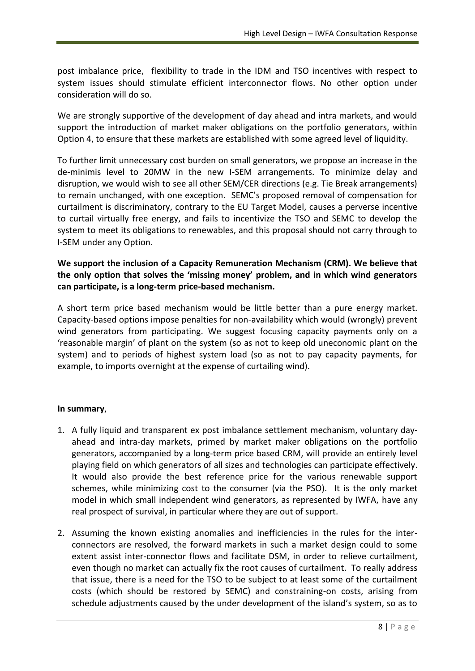post imbalance price, flexibility to trade in the IDM and TSO incentives with respect to system issues should stimulate efficient interconnector flows. No other option under consideration will do so.

We are strongly supportive of the development of day ahead and intra markets, and would support the introduction of market maker obligations on the portfolio generators, within Option 4, to ensure that these markets are established with some agreed level of liquidity.

To further limit unnecessary cost burden on small generators, we propose an increase in the de-minimis level to 20MW in the new I-SEM arrangements. To minimize delay and disruption, we would wish to see all other SEM/CER directions (e.g. Tie Break arrangements) to remain unchanged, with one exception. SEMC's proposed removal of compensation for curtailment is discriminatory, contrary to the EU Target Model, causes a perverse incentive to curtail virtually free energy, and fails to incentivize the TSO and SEMC to develop the system to meet its obligations to renewables, and this proposal should not carry through to I-SEM under any Option.

**We support the inclusion of a Capacity Remuneration Mechanism (CRM). We believe that the only option that solves the 'missing money' problem, and in which wind generators can participate, is a long-term price-based mechanism.**

A short term price based mechanism would be little better than a pure energy market. Capacity-based options impose penalties for non-availability which would (wrongly) prevent wind generators from participating. We suggest focusing capacity payments only on a 'reasonable margin' of plant on the system (so as not to keep old uneconomic plant on the system) and to periods of highest system load (so as not to pay capacity payments, for example, to imports overnight at the expense of curtailing wind).

#### **In summary**,

- 1. A fully liquid and transparent ex post imbalance settlement mechanism, voluntary dayahead and intra-day markets, primed by market maker obligations on the portfolio generators, accompanied by a long-term price based CRM, will provide an entirely level playing field on which generators of all sizes and technologies can participate effectively. It would also provide the best reference price for the various renewable support schemes, while minimizing cost to the consumer (via the PSO). It is the only market model in which small independent wind generators, as represented by IWFA, have any real prospect of survival, in particular where they are out of support.
- 2. Assuming the known existing anomalies and inefficiencies in the rules for the interconnectors are resolved, the forward markets in such a market design could to some extent assist inter-connector flows and facilitate DSM, in order to relieve curtailment, even though no market can actually fix the root causes of curtailment. To really address that issue, there is a need for the TSO to be subject to at least some of the curtailment costs (which should be restored by SEMC) and constraining-on costs, arising from schedule adjustments caused by the under development of the island's system, so as to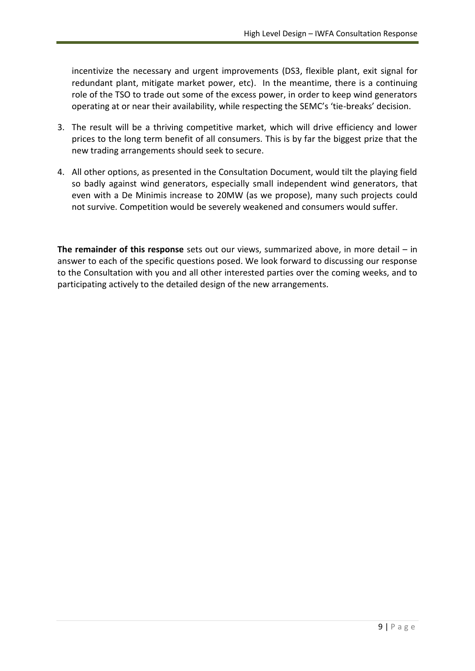incentivize the necessary and urgent improvements (DS3, flexible plant, exit signal for redundant plant, mitigate market power, etc). In the meantime, there is a continuing role of the TSO to trade out some of the excess power, in order to keep wind generators operating at or near their availability, while respecting the SEMC's 'tie-breaks' decision.

- 3. The result will be a thriving competitive market, which will drive efficiency and lower prices to the long term benefit of all consumers. This is by far the biggest prize that the new trading arrangements should seek to secure.
- 4. All other options, as presented in the Consultation Document, would tilt the playing field so badly against wind generators, especially small independent wind generators, that even with a De Minimis increase to 20MW (as we propose), many such projects could not survive. Competition would be severely weakened and consumers would suffer.

**The remainder of this response** sets out our views, summarized above, in more detail – in answer to each of the specific questions posed. We look forward to discussing our response to the Consultation with you and all other interested parties over the coming weeks, and to participating actively to the detailed design of the new arrangements.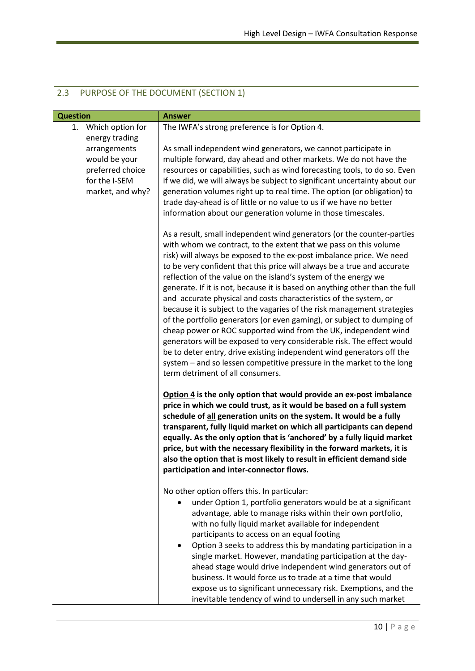| <b>Question</b>                                                        | <b>Answer</b>                                                                                                                                                                                                                                                                                                                                                                                                                                                                                                                                                                                                                                                                                                                                                                                                                                                                                                                                                                                                |
|------------------------------------------------------------------------|--------------------------------------------------------------------------------------------------------------------------------------------------------------------------------------------------------------------------------------------------------------------------------------------------------------------------------------------------------------------------------------------------------------------------------------------------------------------------------------------------------------------------------------------------------------------------------------------------------------------------------------------------------------------------------------------------------------------------------------------------------------------------------------------------------------------------------------------------------------------------------------------------------------------------------------------------------------------------------------------------------------|
| Which option for<br>1.<br>energy trading<br>arrangements               | The IWFA's strong preference is for Option 4.<br>As small independent wind generators, we cannot participate in                                                                                                                                                                                                                                                                                                                                                                                                                                                                                                                                                                                                                                                                                                                                                                                                                                                                                              |
| would be your<br>preferred choice<br>for the I-SEM<br>market, and why? | multiple forward, day ahead and other markets. We do not have the<br>resources or capabilities, such as wind forecasting tools, to do so. Even<br>if we did, we will always be subject to significant uncertainty about our<br>generation volumes right up to real time. The option (or obligation) to<br>trade day-ahead is of little or no value to us if we have no better<br>information about our generation volume in those timescales.                                                                                                                                                                                                                                                                                                                                                                                                                                                                                                                                                                |
|                                                                        | As a result, small independent wind generators (or the counter-parties<br>with whom we contract, to the extent that we pass on this volume<br>risk) will always be exposed to the ex-post imbalance price. We need<br>to be very confident that this price will always be a true and accurate<br>reflection of the value on the island's system of the energy we<br>generate. If it is not, because it is based on anything other than the full<br>and accurate physical and costs characteristics of the system, or<br>because it is subject to the vagaries of the risk management strategies<br>of the portfolio generators (or even gaming), or subject to dumping of<br>cheap power or ROC supported wind from the UK, independent wind<br>generators will be exposed to very considerable risk. The effect would<br>be to deter entry, drive existing independent wind generators off the<br>system - and so lessen competitive pressure in the market to the long<br>term detriment of all consumers. |
|                                                                        | Option 4 is the only option that would provide an ex-post imbalance<br>price in which we could trust, as it would be based on a full system<br>schedule of all generation units on the system. It would be a fully<br>transparent, fully liquid market on which all participants can depend<br>equally. As the only option that is 'anchored' by a fully liquid market<br>price, but with the necessary flexibility in the forward markets, it is<br>also the option that is most likely to result in efficient demand side<br>participation and inter-connector flows.                                                                                                                                                                                                                                                                                                                                                                                                                                      |
|                                                                        | No other option offers this. In particular:<br>under Option 1, portfolio generators would be at a significant<br>advantage, able to manage risks within their own portfolio,<br>with no fully liquid market available for independent<br>participants to access on an equal footing<br>Option 3 seeks to address this by mandating participation in a<br>single market. However, mandating participation at the day-<br>ahead stage would drive independent wind generators out of<br>business. It would force us to trade at a time that would<br>expose us to significant unnecessary risk. Exemptions, and the<br>inevitable tendency of wind to undersell in any such market                                                                                                                                                                                                                                                                                                                             |

# 2.3 PURPOSE OF THE DOCUMENT (SECTION 1)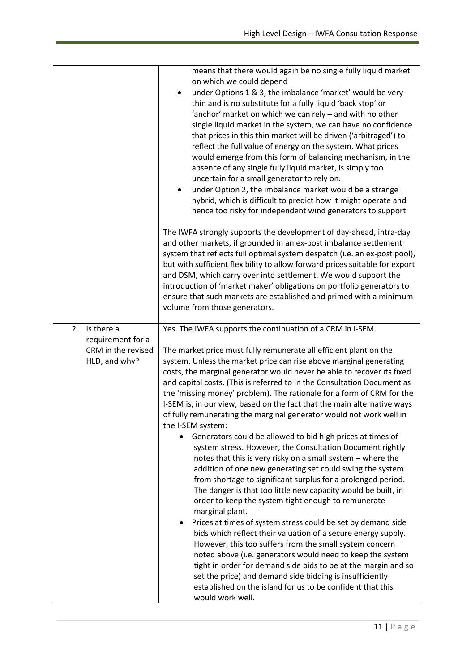|                    | means that there would again be no single fully liquid market<br>on which we could depend                                                         |
|--------------------|---------------------------------------------------------------------------------------------------------------------------------------------------|
|                    | under Options 1 & 3, the imbalance 'market' would be very<br>٠                                                                                    |
|                    | thin and is no substitute for a fully liquid 'back stop' or                                                                                       |
|                    | 'anchor' market on which we can rely - and with no other                                                                                          |
|                    | single liquid market in the system, we can have no confidence                                                                                     |
|                    | that prices in this thin market will be driven ('arbitraged') to                                                                                  |
|                    | reflect the full value of energy on the system. What prices                                                                                       |
|                    | would emerge from this form of balancing mechanism, in the                                                                                        |
|                    | absence of any single fully liquid market, is simply too                                                                                          |
|                    | uncertain for a small generator to rely on.                                                                                                       |
|                    | under Option 2, the imbalance market would be a strange                                                                                           |
|                    | hybrid, which is difficult to predict how it might operate and                                                                                    |
|                    | hence too risky for independent wind generators to support                                                                                        |
|                    | The IWFA strongly supports the development of day-ahead, intra-day                                                                                |
|                    | and other markets, if grounded in an ex-post imbalance settlement                                                                                 |
|                    | system that reflects full optimal system despatch (i.e. an ex-post pool),                                                                         |
|                    | but with sufficient flexibility to allow forward prices suitable for export                                                                       |
|                    | and DSM, which carry over into settlement. We would support the                                                                                   |
|                    | introduction of 'market maker' obligations on portfolio generators to<br>ensure that such markets are established and primed with a minimum       |
|                    | volume from those generators.                                                                                                                     |
|                    |                                                                                                                                                   |
| 2.<br>Is there a   | Yes. The IWFA supports the continuation of a CRM in I-SEM.                                                                                        |
| requirement for a  |                                                                                                                                                   |
| CRM in the revised | The market price must fully remunerate all efficient plant on the                                                                                 |
| HLD, and why?      | system. Unless the market price can rise above marginal generating                                                                                |
|                    | costs, the marginal generator would never be able to recover its fixed<br>and capital costs. (This is referred to in the Consultation Document as |
|                    | the 'missing money' problem). The rationale for a form of CRM for the                                                                             |
|                    | I-SEM is, in our view, based on the fact that the main alternative ways                                                                           |
|                    | of fully remunerating the marginal generator would not work well in                                                                               |
|                    | the I-SEM system:                                                                                                                                 |
|                    | Generators could be allowed to bid high prices at times of                                                                                        |
|                    | system stress. However, the Consultation Document rightly                                                                                         |
|                    | notes that this is very risky on a small system - where the                                                                                       |
|                    | addition of one new generating set could swing the system                                                                                         |
|                    | from shortage to significant surplus for a prolonged period.                                                                                      |
|                    | The danger is that too little new capacity would be built, in                                                                                     |
|                    | order to keep the system tight enough to remunerate                                                                                               |
|                    | marginal plant.                                                                                                                                   |
|                    | Prices at times of system stress could be set by demand side                                                                                      |
|                    | bids which reflect their valuation of a secure energy supply.                                                                                     |
|                    | However, this too suffers from the small system concern                                                                                           |
|                    | noted above (i.e. generators would need to keep the system                                                                                        |
|                    | tight in order for demand side bids to be at the margin and so<br>set the price) and demand side bidding is insufficiently                        |
|                    | established on the island for us to be confident that this                                                                                        |
|                    | would work well.                                                                                                                                  |
|                    |                                                                                                                                                   |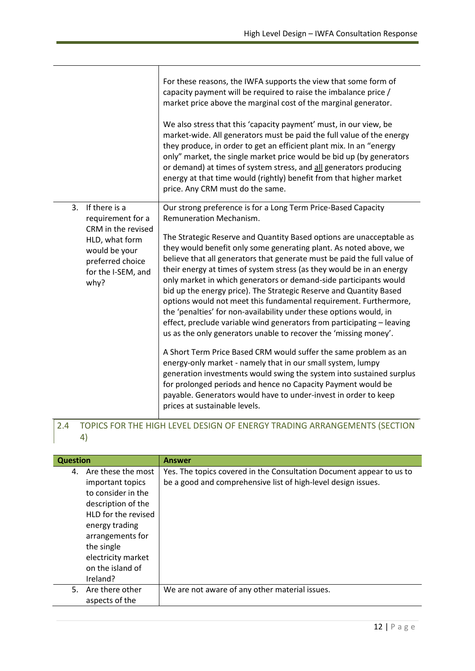|                                                                                                                                                     | For these reasons, the IWFA supports the view that some form of<br>capacity payment will be required to raise the imbalance price /<br>market price above the marginal cost of the marginal generator.<br>We also stress that this 'capacity payment' must, in our view, be<br>market-wide. All generators must be paid the full value of the energy<br>they produce, in order to get an efficient plant mix. In an "energy<br>only" market, the single market price would be bid up (by generators<br>or demand) at times of system stress, and all generators producing<br>energy at that time would (rightly) benefit from that higher market<br>price. Any CRM must do the same.                                                                                                                                           |
|-----------------------------------------------------------------------------------------------------------------------------------------------------|--------------------------------------------------------------------------------------------------------------------------------------------------------------------------------------------------------------------------------------------------------------------------------------------------------------------------------------------------------------------------------------------------------------------------------------------------------------------------------------------------------------------------------------------------------------------------------------------------------------------------------------------------------------------------------------------------------------------------------------------------------------------------------------------------------------------------------|
| 3.<br>If there is a<br>requirement for a<br>CRM in the revised<br>HLD, what form<br>would be your<br>preferred choice<br>for the I-SEM, and<br>why? | Our strong preference is for a Long Term Price-Based Capacity<br>Remuneration Mechanism.<br>The Strategic Reserve and Quantity Based options are unacceptable as<br>they would benefit only some generating plant. As noted above, we<br>believe that all generators that generate must be paid the full value of<br>their energy at times of system stress (as they would be in an energy<br>only market in which generators or demand-side participants would<br>bid up the energy price). The Strategic Reserve and Quantity Based<br>options would not meet this fundamental requirement. Furthermore,<br>the 'penalties' for non-availability under these options would, in<br>effect, preclude variable wind generators from participating - leaving<br>us as the only generators unable to recover the 'missing money'. |
|                                                                                                                                                     | A Short Term Price Based CRM would suffer the same problem as an<br>energy-only market - namely that in our small system, lumpy<br>generation investments would swing the system into sustained surplus<br>for prolonged periods and hence no Capacity Payment would be<br>payable. Generators would have to under-invest in order to keep<br>prices at sustainable levels.                                                                                                                                                                                                                                                                                                                                                                                                                                                    |

#### 2.4 TOPICS FOR THE HIGH LEVEL DESIGN OF ENERGY TRADING ARRANGEMENTS (SECTION 4)

| <b>Question</b> |                     | <b>Answer</b>                                                        |
|-----------------|---------------------|----------------------------------------------------------------------|
| 4.              | Are these the most  | Yes. The topics covered in the Consultation Document appear to us to |
|                 | important topics    | be a good and comprehensive list of high-level design issues.        |
|                 | to consider in the  |                                                                      |
|                 | description of the  |                                                                      |
|                 | HLD for the revised |                                                                      |
|                 | energy trading      |                                                                      |
|                 | arrangements for    |                                                                      |
|                 | the single          |                                                                      |
|                 | electricity market  |                                                                      |
|                 | on the island of    |                                                                      |
|                 | Ireland?            |                                                                      |
| 5.              | Are there other     | We are not aware of any other material issues.                       |
|                 | aspects of the      |                                                                      |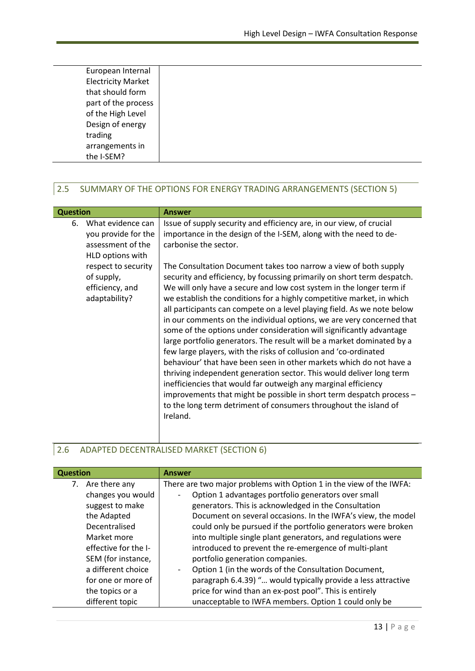| European Internal         |  |  |
|---------------------------|--|--|
| <b>Electricity Market</b> |  |  |
| that should form          |  |  |
| part of the process       |  |  |
| of the High Level         |  |  |
| Design of energy          |  |  |
| trading                   |  |  |
| arrangements in           |  |  |
| the I-SEM?                |  |  |
|                           |  |  |

### 2.5 SUMMARY OF THE OPTIONS FOR ENERGY TRADING ARRANGEMENTS (SECTION 5)

| Issue of supply security and efficiency are, in our view, of crucial<br>What evidence can<br>6.<br>importance in the design of the I-SEM, along with the need to de-<br>you provide for the<br>carbonise the sector.<br>assessment of the<br>HLD options with<br>respect to security<br>The Consultation Document takes too narrow a view of both supply<br>of supply,<br>security and efficiency, by focussing primarily on short term despatch.<br>We will only have a secure and low cost system in the longer term if<br>efficiency, and<br>adaptability?<br>we establish the conditions for a highly competitive market, in which<br>all participants can compete on a level playing field. As we note below<br>in our comments on the individual options, we are very concerned that<br>some of the options under consideration will significantly advantage<br>large portfolio generators. The result will be a market dominated by a<br>few large players, with the risks of collusion and 'co-ordinated<br>behaviour' that have been seen in other markets which do not have a<br>thriving independent generation sector. This would deliver long term<br>inefficiencies that would far outweigh any marginal efficiency<br>improvements that might be possible in short term despatch process -<br>to the long term detriment of consumers throughout the island of<br>Ireland. | <b>Question</b> | <b>Answer</b> |
|-------------------------------------------------------------------------------------------------------------------------------------------------------------------------------------------------------------------------------------------------------------------------------------------------------------------------------------------------------------------------------------------------------------------------------------------------------------------------------------------------------------------------------------------------------------------------------------------------------------------------------------------------------------------------------------------------------------------------------------------------------------------------------------------------------------------------------------------------------------------------------------------------------------------------------------------------------------------------------------------------------------------------------------------------------------------------------------------------------------------------------------------------------------------------------------------------------------------------------------------------------------------------------------------------------------------------------------------------------------------------------------------|-----------------|---------------|
|                                                                                                                                                                                                                                                                                                                                                                                                                                                                                                                                                                                                                                                                                                                                                                                                                                                                                                                                                                                                                                                                                                                                                                                                                                                                                                                                                                                           |                 |               |

### 2.6 ADAPTED DECENTRALISED MARKET (SECTION 6)

| <b>Question</b>      | <b>Answer</b>                                                                    |  |
|----------------------|----------------------------------------------------------------------------------|--|
| Are there any<br>7.  | There are two major problems with Option 1 in the view of the IWFA:              |  |
| changes you would    | Option 1 advantages portfolio generators over small                              |  |
| suggest to make      | generators. This is acknowledged in the Consultation                             |  |
| the Adapted          | Document on several occasions. In the IWFA's view, the model                     |  |
| Decentralised        | could only be pursued if the portfolio generators were broken                    |  |
| Market more          | into multiple single plant generators, and regulations were                      |  |
| effective for the I- | introduced to prevent the re-emergence of multi-plant                            |  |
| SEM (for instance,   | portfolio generation companies.                                                  |  |
| a different choice   | Option 1 (in the words of the Consultation Document,<br>$\overline{\phantom{a}}$ |  |
| for one or more of   | paragraph 6.4.39) " would typically provide a less attractive                    |  |
| the topics or a      | price for wind than an ex-post pool". This is entirely                           |  |
| different topic      | unacceptable to IWFA members. Option 1 could only be                             |  |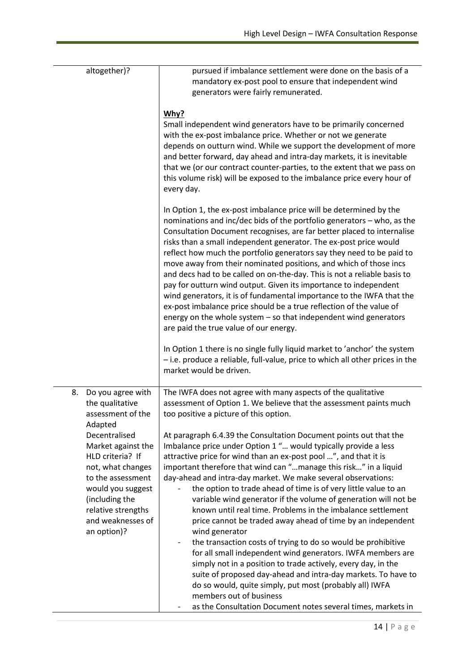| altogether)?                                                                                                                                                                                       | pursued if imbalance settlement were done on the basis of a<br>mandatory ex-post pool to ensure that independent wind<br>generators were fairly remunerated.                                                                                                                                                                                                                                                                                                                                                                                                                                                                                                                                                                                                                                                                                              |
|----------------------------------------------------------------------------------------------------------------------------------------------------------------------------------------------------|-----------------------------------------------------------------------------------------------------------------------------------------------------------------------------------------------------------------------------------------------------------------------------------------------------------------------------------------------------------------------------------------------------------------------------------------------------------------------------------------------------------------------------------------------------------------------------------------------------------------------------------------------------------------------------------------------------------------------------------------------------------------------------------------------------------------------------------------------------------|
|                                                                                                                                                                                                    | Why?<br>Small independent wind generators have to be primarily concerned<br>with the ex-post imbalance price. Whether or not we generate<br>depends on outturn wind. While we support the development of more<br>and better forward, day ahead and intra-day markets, it is inevitable<br>that we (or our contract counter-parties, to the extent that we pass on<br>this volume risk) will be exposed to the imbalance price every hour of<br>every day.                                                                                                                                                                                                                                                                                                                                                                                                 |
|                                                                                                                                                                                                    | In Option 1, the ex-post imbalance price will be determined by the<br>nominations and inc/dec bids of the portfolio generators - who, as the<br>Consultation Document recognises, are far better placed to internalise<br>risks than a small independent generator. The ex-post price would<br>reflect how much the portfolio generators say they need to be paid to<br>move away from their nominated positions, and which of those incs<br>and decs had to be called on on-the-day. This is not a reliable basis to<br>pay for outturn wind output. Given its importance to independent<br>wind generators, it is of fundamental importance to the IWFA that the<br>ex-post imbalance price should be a true reflection of the value of<br>energy on the whole system $-$ so that independent wind generators<br>are paid the true value of our energy. |
|                                                                                                                                                                                                    | In Option 1 there is no single fully liquid market to 'anchor' the system<br>- i.e. produce a reliable, full-value, price to which all other prices in the<br>market would be driven.                                                                                                                                                                                                                                                                                                                                                                                                                                                                                                                                                                                                                                                                     |
| 8.<br>Do you agree with<br>the qualitative<br>assessment of the<br>Adapted                                                                                                                         | The IWFA does not agree with many aspects of the qualitative<br>assessment of Option 1. We believe that the assessment paints much<br>too positive a picture of this option.                                                                                                                                                                                                                                                                                                                                                                                                                                                                                                                                                                                                                                                                              |
| Decentralised<br>Market against the<br>HLD criteria? If<br>not, what changes<br>to the assessment<br>would you suggest<br>(including the<br>relative strengths<br>and weaknesses of<br>an option)? | At paragraph 6.4.39 the Consultation Document points out that the<br>Imbalance price under Option 1 " would typically provide a less<br>attractive price for wind than an ex-post pool ", and that it is<br>important therefore that wind can "manage this risk" in a liquid<br>day-ahead and intra-day market. We make several observations:<br>the option to trade ahead of time is of very little value to an<br>variable wind generator if the volume of generation will not be<br>known until real time. Problems in the imbalance settlement<br>price cannot be traded away ahead of time by an independent<br>wind generator<br>the transaction costs of trying to do so would be prohibitive<br>$\qquad \qquad -$<br>for all small independent wind generators. IWFA members are<br>simply not in a position to trade actively, every day, in the |
|                                                                                                                                                                                                    | suite of proposed day-ahead and intra-day markets. To have to<br>do so would, quite simply, put most (probably all) IWFA<br>members out of business<br>as the Consultation Document notes several times, markets in                                                                                                                                                                                                                                                                                                                                                                                                                                                                                                                                                                                                                                       |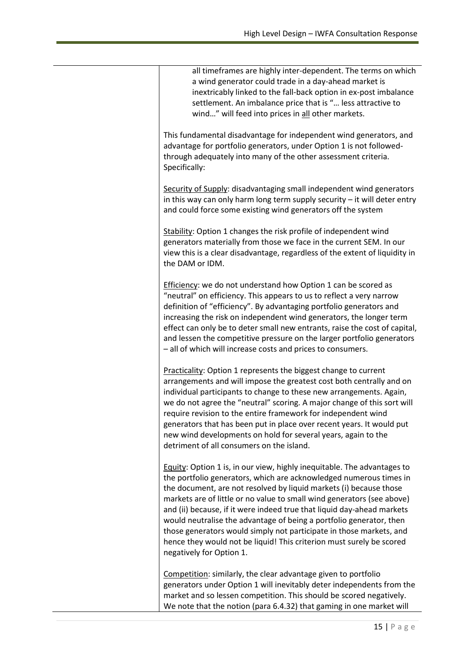| all timeframes are highly inter-dependent. The terms on which<br>a wind generator could trade in a day-ahead market is<br>inextricably linked to the fall-back option in ex-post imbalance<br>settlement. An imbalance price that is " less attractive to<br>wind" will feed into prices in all other markets.                                                                                                                                                                                                                                                                                                            |
|---------------------------------------------------------------------------------------------------------------------------------------------------------------------------------------------------------------------------------------------------------------------------------------------------------------------------------------------------------------------------------------------------------------------------------------------------------------------------------------------------------------------------------------------------------------------------------------------------------------------------|
| This fundamental disadvantage for independent wind generators, and<br>advantage for portfolio generators, under Option 1 is not followed-<br>through adequately into many of the other assessment criteria.<br>Specifically:                                                                                                                                                                                                                                                                                                                                                                                              |
| Security of Supply: disadvantaging small independent wind generators<br>in this way can only harm long term supply security $-$ it will deter entry<br>and could force some existing wind generators off the system                                                                                                                                                                                                                                                                                                                                                                                                       |
| Stability: Option 1 changes the risk profile of independent wind<br>generators materially from those we face in the current SEM. In our<br>view this is a clear disadvantage, regardless of the extent of liquidity in<br>the DAM or IDM.                                                                                                                                                                                                                                                                                                                                                                                 |
| Efficiency: we do not understand how Option 1 can be scored as<br>"neutral" on efficiency. This appears to us to reflect a very narrow<br>definition of "efficiency". By advantaging portfolio generators and<br>increasing the risk on independent wind generators, the longer term<br>effect can only be to deter small new entrants, raise the cost of capital,<br>and lessen the competitive pressure on the larger portfolio generators<br>- all of which will increase costs and prices to consumers.                                                                                                               |
| Practicality: Option 1 represents the biggest change to current<br>arrangements and will impose the greatest cost both centrally and on<br>individual participants to change to these new arrangements. Again,<br>we do not agree the "neutral" scoring. A major change of this sort will<br>require revision to the entire framework for independent wind<br>generators that has been put in place over recent years. It would put<br>new wind developments on hold for several years, again to the<br>detriment of all consumers on the island.                                                                         |
| Equity: Option 1 is, in our view, highly inequitable. The advantages to<br>the portfolio generators, which are acknowledged numerous times in<br>the document, are not resolved by liquid markets (i) because those<br>markets are of little or no value to small wind generators (see above)<br>and (ii) because, if it were indeed true that liquid day-ahead markets<br>would neutralise the advantage of being a portfolio generator, then<br>those generators would simply not participate in those markets, and<br>hence they would not be liquid! This criterion must surely be scored<br>negatively for Option 1. |
| Competition: similarly, the clear advantage given to portfolio<br>generators under Option 1 will inevitably deter independents from the<br>market and so lessen competition. This should be scored negatively.<br>We note that the notion (para 6.4.32) that gaming in one market will                                                                                                                                                                                                                                                                                                                                    |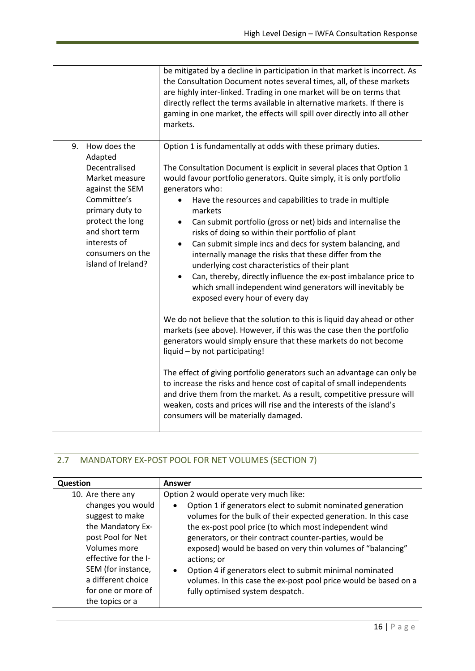|                                                                                                                                                                                                                       | be mitigated by a decline in participation in that market is incorrect. As<br>the Consultation Document notes several times, all, of these markets<br>are highly inter-linked. Trading in one market will be on terms that<br>directly reflect the terms available in alternative markets. If there is<br>gaming in one market, the effects will spill over directly into all other<br>markets.                                                                                                                                                                                                                                                                                                                                                                                                                                |
|-----------------------------------------------------------------------------------------------------------------------------------------------------------------------------------------------------------------------|--------------------------------------------------------------------------------------------------------------------------------------------------------------------------------------------------------------------------------------------------------------------------------------------------------------------------------------------------------------------------------------------------------------------------------------------------------------------------------------------------------------------------------------------------------------------------------------------------------------------------------------------------------------------------------------------------------------------------------------------------------------------------------------------------------------------------------|
| How does the<br>9.<br>Adapted<br>Decentralised<br>Market measure<br>against the SEM<br>Committee's<br>primary duty to<br>protect the long<br>and short term<br>interests of<br>consumers on the<br>island of Ireland? | Option 1 is fundamentally at odds with these primary duties.<br>The Consultation Document is explicit in several places that Option 1<br>would favour portfolio generators. Quite simply, it is only portfolio<br>generators who:<br>Have the resources and capabilities to trade in multiple<br>$\bullet$<br>markets<br>Can submit portfolio (gross or net) bids and internalise the<br>$\bullet$<br>risks of doing so within their portfolio of plant<br>Can submit simple incs and decs for system balancing, and<br>$\bullet$<br>internally manage the risks that these differ from the<br>underlying cost characteristics of their plant<br>Can, thereby, directly influence the ex-post imbalance price to<br>$\bullet$<br>which small independent wind generators will inevitably be<br>exposed every hour of every day |
|                                                                                                                                                                                                                       | We do not believe that the solution to this is liquid day ahead or other<br>markets (see above). However, if this was the case then the portfolio<br>generators would simply ensure that these markets do not become<br>liquid - by not participating!<br>The effect of giving portfolio generators such an advantage can only be<br>to increase the risks and hence cost of capital of small independents<br>and drive them from the market. As a result, competitive pressure will<br>weaken, costs and prices will rise and the interests of the island's<br>consumers will be materially damaged.                                                                                                                                                                                                                          |

# 2.7 MANDATORY EX-POST POOL FOR NET VOLUMES (SECTION 7)

| Question                                                                                                                                                                                                    | Answer                                                                                                                                                                                                                                                                                                                                                                                                                                                                                                |
|-------------------------------------------------------------------------------------------------------------------------------------------------------------------------------------------------------------|-------------------------------------------------------------------------------------------------------------------------------------------------------------------------------------------------------------------------------------------------------------------------------------------------------------------------------------------------------------------------------------------------------------------------------------------------------------------------------------------------------|
| 10. Are there any                                                                                                                                                                                           | Option 2 would operate very much like:                                                                                                                                                                                                                                                                                                                                                                                                                                                                |
| changes you would<br>suggest to make<br>the Mandatory Ex-<br>post Pool for Net<br>Volumes more<br>effective for the I-<br>SEM (for instance,<br>a different choice<br>for one or more of<br>the topics or a | Option 1 if generators elect to submit nominated generation<br>volumes for the bulk of their expected generation. In this case<br>the ex-post pool price (to which most independent wind<br>generators, or their contract counter-parties, would be<br>exposed) would be based on very thin volumes of "balancing"<br>actions; or<br>Option 4 if generators elect to submit minimal nominated<br>volumes. In this case the ex-post pool price would be based on a<br>fully optimised system despatch. |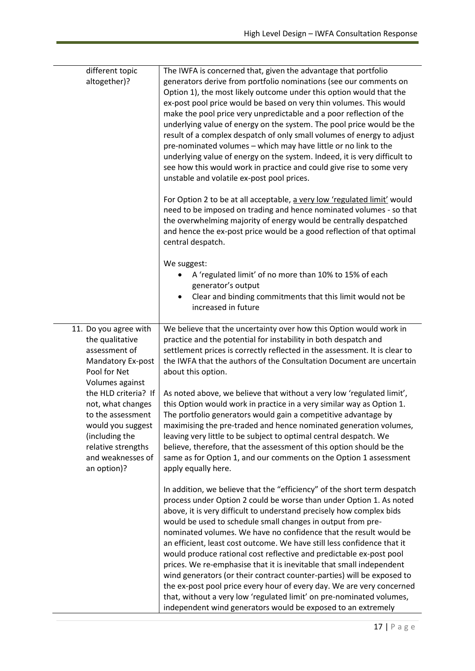| different topic<br>altogether)?                                                                                                                                 | The IWFA is concerned that, given the advantage that portfolio<br>generators derive from portfolio nominations (see our comments on<br>Option 1), the most likely outcome under this option would that the<br>ex-post pool price would be based on very thin volumes. This would<br>make the pool price very unpredictable and a poor reflection of the<br>underlying value of energy on the system. The pool price would be the<br>result of a complex despatch of only small volumes of energy to adjust<br>pre-nominated volumes - which may have little or no link to the<br>underlying value of energy on the system. Indeed, it is very difficult to<br>see how this would work in practice and could give rise to some very<br>unstable and volatile ex-post pool prices.                                                                                                 |
|-----------------------------------------------------------------------------------------------------------------------------------------------------------------|----------------------------------------------------------------------------------------------------------------------------------------------------------------------------------------------------------------------------------------------------------------------------------------------------------------------------------------------------------------------------------------------------------------------------------------------------------------------------------------------------------------------------------------------------------------------------------------------------------------------------------------------------------------------------------------------------------------------------------------------------------------------------------------------------------------------------------------------------------------------------------|
|                                                                                                                                                                 | For Option 2 to be at all acceptable, a very low 'regulated limit' would<br>need to be imposed on trading and hence nominated volumes - so that<br>the overwhelming majority of energy would be centrally despatched<br>and hence the ex-post price would be a good reflection of that optimal<br>central despatch.                                                                                                                                                                                                                                                                                                                                                                                                                                                                                                                                                              |
|                                                                                                                                                                 | We suggest:<br>A 'regulated limit' of no more than 10% to 15% of each<br>generator's output<br>Clear and binding commitments that this limit would not be<br>increased in future                                                                                                                                                                                                                                                                                                                                                                                                                                                                                                                                                                                                                                                                                                 |
| 11. Do you agree with<br>the qualitative<br>assessment of<br>Mandatory Ex-post<br>Pool for Net<br>Volumes against                                               | We believe that the uncertainty over how this Option would work in<br>practice and the potential for instability in both despatch and<br>settlement prices is correctly reflected in the assessment. It is clear to<br>the IWFA that the authors of the Consultation Document are uncertain<br>about this option.                                                                                                                                                                                                                                                                                                                                                                                                                                                                                                                                                                |
| the HLD criteria? If<br>not, what changes<br>to the assessment<br>would you suggest<br>(including the<br>relative strengths<br>and weaknesses of<br>an option)? | As noted above, we believe that without a very low 'regulated limit',<br>this Option would work in practice in a very similar way as Option 1.<br>The portfolio generators would gain a competitive advantage by<br>maximising the pre-traded and hence nominated generation volumes,<br>leaving very little to be subject to optimal central despatch. We<br>believe, therefore, that the assessment of this option should be the<br>same as for Option 1, and our comments on the Option 1 assessment<br>apply equally here.                                                                                                                                                                                                                                                                                                                                                   |
|                                                                                                                                                                 | In addition, we believe that the "efficiency" of the short term despatch<br>process under Option 2 could be worse than under Option 1. As noted<br>above, it is very difficult to understand precisely how complex bids<br>would be used to schedule small changes in output from pre-<br>nominated volumes. We have no confidence that the result would be<br>an efficient, least cost outcome. We have still less confidence that it<br>would produce rational cost reflective and predictable ex-post pool<br>prices. We re-emphasise that it is inevitable that small independent<br>wind generators (or their contract counter-parties) will be exposed to<br>the ex-post pool price every hour of every day. We are very concerned<br>that, without a very low 'regulated limit' on pre-nominated volumes,<br>independent wind generators would be exposed to an extremely |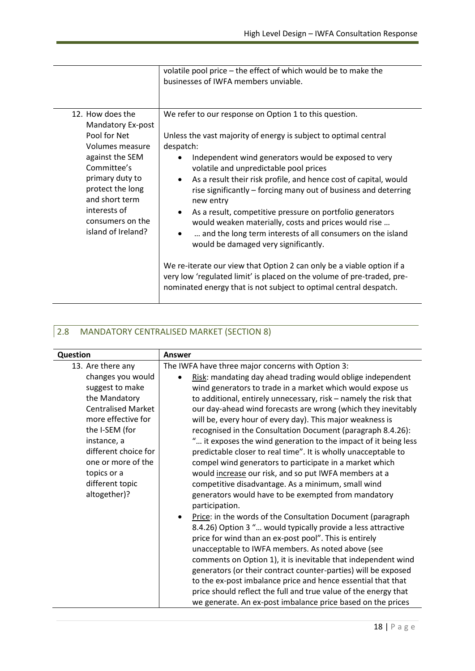|                                                                                                                                                                                                                               | volatile pool price - the effect of which would be to make the<br>businesses of IWFA members unviable.                                                                                                                                                                                                                                                                                                                                                                                                                                                                                                                                                                                                                                                                                                                                                |
|-------------------------------------------------------------------------------------------------------------------------------------------------------------------------------------------------------------------------------|-------------------------------------------------------------------------------------------------------------------------------------------------------------------------------------------------------------------------------------------------------------------------------------------------------------------------------------------------------------------------------------------------------------------------------------------------------------------------------------------------------------------------------------------------------------------------------------------------------------------------------------------------------------------------------------------------------------------------------------------------------------------------------------------------------------------------------------------------------|
| 12. How does the<br>Mandatory Ex-post<br>Pool for Net<br>Volumes measure<br>against the SEM<br>Committee's<br>primary duty to<br>protect the long<br>and short term<br>interests of<br>consumers on the<br>island of Ireland? | We refer to our response on Option 1 to this question.<br>Unless the vast majority of energy is subject to optimal central<br>despatch:<br>Independent wind generators would be exposed to very<br>volatile and unpredictable pool prices<br>As a result their risk profile, and hence cost of capital, would<br>٠<br>rise significantly – forcing many out of business and deterring<br>new entry<br>As a result, competitive pressure on portfolio generators<br>would weaken materially, costs and prices would rise<br>and the long term interests of all consumers on the island<br>would be damaged very significantly.<br>We re-iterate our view that Option 2 can only be a viable option if a<br>very low 'regulated limit' is placed on the volume of pre-traded, pre-<br>nominated energy that is not subject to optimal central despatch. |

### 2.8 MANDATORY CENTRALISED MARKET (SECTION 8)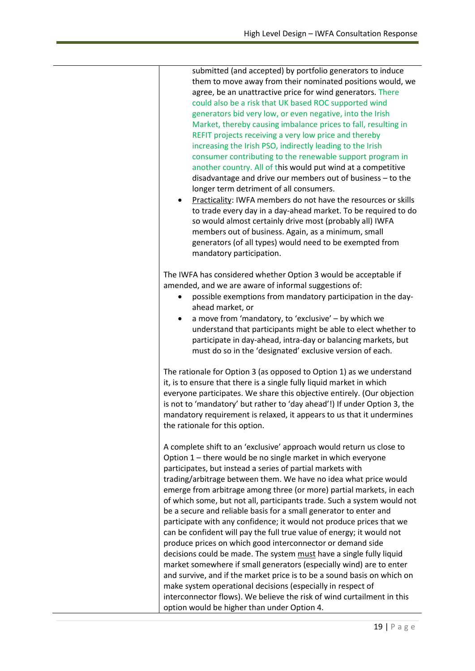| submitted (and accepted) by portfolio generators to induce<br>them to move away from their nominated positions would, we<br>agree, be an unattractive price for wind generators. There<br>could also be a risk that UK based ROC supported wind<br>generators bid very low, or even negative, into the Irish<br>Market, thereby causing imbalance prices to fall, resulting in<br>REFIT projects receiving a very low price and thereby<br>increasing the Irish PSO, indirectly leading to the Irish<br>consumer contributing to the renewable support program in<br>another country. All of this would put wind at a competitive<br>disadvantage and drive our members out of business - to the<br>longer term detriment of all consumers.<br>Practicality: IWFA members do not have the resources or skills<br>to trade every day in a day-ahead market. To be required to do<br>so would almost certainly drive most (probably all) IWFA<br>members out of business. Again, as a minimum, small<br>generators (of all types) would need to be exempted from<br>mandatory participation.                                     |
|--------------------------------------------------------------------------------------------------------------------------------------------------------------------------------------------------------------------------------------------------------------------------------------------------------------------------------------------------------------------------------------------------------------------------------------------------------------------------------------------------------------------------------------------------------------------------------------------------------------------------------------------------------------------------------------------------------------------------------------------------------------------------------------------------------------------------------------------------------------------------------------------------------------------------------------------------------------------------------------------------------------------------------------------------------------------------------------------------------------------------------|
| The IWFA has considered whether Option 3 would be acceptable if<br>amended, and we are aware of informal suggestions of:<br>possible exemptions from mandatory participation in the day-<br>ahead market, or<br>a move from 'mandatory, to 'exclusive' - by which we<br>٠<br>understand that participants might be able to elect whether to<br>participate in day-ahead, intra-day or balancing markets, but<br>must do so in the 'designated' exclusive version of each.                                                                                                                                                                                                                                                                                                                                                                                                                                                                                                                                                                                                                                                      |
| The rationale for Option 3 (as opposed to Option 1) as we understand<br>it, is to ensure that there is a single fully liquid market in which<br>everyone participates. We share this objective entirely. (Our objection<br>is not to 'mandatory' but rather to 'day ahead'!) If under Option 3, the<br>mandatory requirement is relaxed, it appears to us that it undermines<br>the rationale for this option.                                                                                                                                                                                                                                                                                                                                                                                                                                                                                                                                                                                                                                                                                                                 |
| A complete shift to an 'exclusive' approach would return us close to<br>Option 1 – there would be no single market in which everyone<br>participates, but instead a series of partial markets with<br>trading/arbitrage between them. We have no idea what price would<br>emerge from arbitrage among three (or more) partial markets, in each<br>of which some, but not all, participants trade. Such a system would not<br>be a secure and reliable basis for a small generator to enter and<br>participate with any confidence; it would not produce prices that we<br>can be confident will pay the full true value of energy; it would not<br>produce prices on which good interconnector or demand side<br>decisions could be made. The system must have a single fully liquid<br>market somewhere if small generators (especially wind) are to enter<br>and survive, and if the market price is to be a sound basis on which on<br>make system operational decisions (especially in respect of<br>interconnector flows). We believe the risk of wind curtailment in this<br>option would be higher than under Option 4. |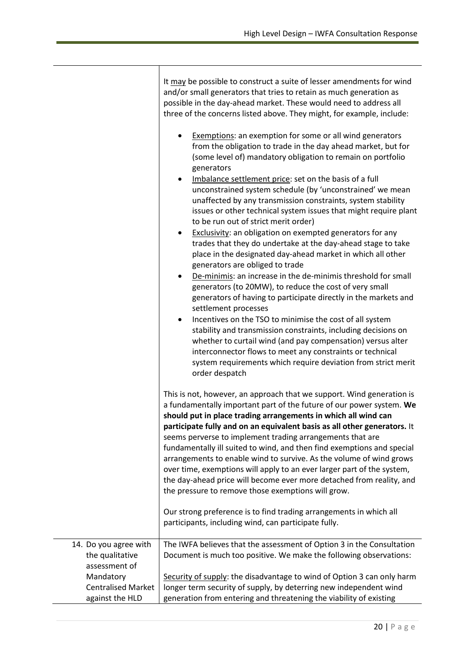|                           | It may be possible to construct a suite of lesser amendments for wind<br>and/or small generators that tries to retain as much generation as<br>possible in the day-ahead market. These would need to address all<br>three of the concerns listed above. They might, for example, include:                                                                                                                                                                                                                                                                                                                                                                                                                                                                                                                                                                                                                                                                                                                                                                                                                                                                                                                                                                            |
|---------------------------|----------------------------------------------------------------------------------------------------------------------------------------------------------------------------------------------------------------------------------------------------------------------------------------------------------------------------------------------------------------------------------------------------------------------------------------------------------------------------------------------------------------------------------------------------------------------------------------------------------------------------------------------------------------------------------------------------------------------------------------------------------------------------------------------------------------------------------------------------------------------------------------------------------------------------------------------------------------------------------------------------------------------------------------------------------------------------------------------------------------------------------------------------------------------------------------------------------------------------------------------------------------------|
|                           | Exemptions: an exemption for some or all wind generators<br>from the obligation to trade in the day ahead market, but for<br>(some level of) mandatory obligation to remain on portfolio<br>generators<br>Imbalance settlement price: set on the basis of a full<br>$\bullet$<br>unconstrained system schedule (by 'unconstrained' we mean<br>unaffected by any transmission constraints, system stability<br>issues or other technical system issues that might require plant<br>to be run out of strict merit order)<br>Exclusivity: an obligation on exempted generators for any<br>$\bullet$<br>trades that they do undertake at the day-ahead stage to take<br>place in the designated day-ahead market in which all other<br>generators are obliged to trade<br>De-minimis: an increase in the de-minimis threshold for small<br>٠<br>generators (to 20MW), to reduce the cost of very small<br>generators of having to participate directly in the markets and<br>settlement processes<br>Incentives on the TSO to minimise the cost of all system<br>$\bullet$<br>stability and transmission constraints, including decisions on<br>whether to curtail wind (and pay compensation) versus alter<br>interconnector flows to meet any constraints or technical |
|                           | system requirements which require deviation from strict merit<br>order despatch                                                                                                                                                                                                                                                                                                                                                                                                                                                                                                                                                                                                                                                                                                                                                                                                                                                                                                                                                                                                                                                                                                                                                                                      |
|                           | This is not, however, an approach that we support. Wind generation is<br>a fundamentally important part of the future of our power system. We<br>should put in place trading arrangements in which all wind can<br>participate fully and on an equivalent basis as all other generators. It<br>seems perverse to implement trading arrangements that are<br>fundamentally ill suited to wind, and then find exemptions and special<br>arrangements to enable wind to survive. As the volume of wind grows<br>over time, exemptions will apply to an ever larger part of the system,<br>the day-ahead price will become ever more detached from reality, and<br>the pressure to remove those exemptions will grow.                                                                                                                                                                                                                                                                                                                                                                                                                                                                                                                                                    |
|                           | Our strong preference is to find trading arrangements in which all<br>participants, including wind, can participate fully.                                                                                                                                                                                                                                                                                                                                                                                                                                                                                                                                                                                                                                                                                                                                                                                                                                                                                                                                                                                                                                                                                                                                           |
| 14. Do you agree with     | The IWFA believes that the assessment of Option 3 in the Consultation                                                                                                                                                                                                                                                                                                                                                                                                                                                                                                                                                                                                                                                                                                                                                                                                                                                                                                                                                                                                                                                                                                                                                                                                |
| the qualitative           | Document is much too positive. We make the following observations:                                                                                                                                                                                                                                                                                                                                                                                                                                                                                                                                                                                                                                                                                                                                                                                                                                                                                                                                                                                                                                                                                                                                                                                                   |
| assessment of             |                                                                                                                                                                                                                                                                                                                                                                                                                                                                                                                                                                                                                                                                                                                                                                                                                                                                                                                                                                                                                                                                                                                                                                                                                                                                      |
| Mandatory                 | Security of supply: the disadvantage to wind of Option 3 can only harm                                                                                                                                                                                                                                                                                                                                                                                                                                                                                                                                                                                                                                                                                                                                                                                                                                                                                                                                                                                                                                                                                                                                                                                               |
| <b>Centralised Market</b> | longer term security of supply, by deterring new independent wind                                                                                                                                                                                                                                                                                                                                                                                                                                                                                                                                                                                                                                                                                                                                                                                                                                                                                                                                                                                                                                                                                                                                                                                                    |
| against the HLD           | generation from entering and threatening the viability of existing                                                                                                                                                                                                                                                                                                                                                                                                                                                                                                                                                                                                                                                                                                                                                                                                                                                                                                                                                                                                                                                                                                                                                                                                   |

 $\top$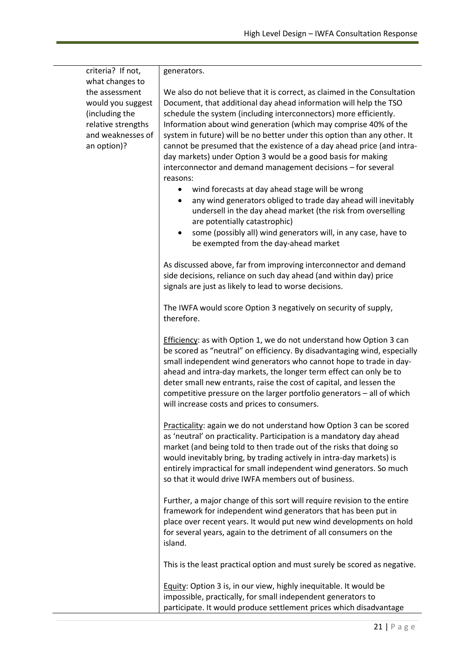| criteria? If not,<br>what changes to                                                                            | generators.                                                                                                                                                                                                                                                                                                                                                                                                                                                                                                                                                                                                                                                                                                                                                                                                                                                                                      |
|-----------------------------------------------------------------------------------------------------------------|--------------------------------------------------------------------------------------------------------------------------------------------------------------------------------------------------------------------------------------------------------------------------------------------------------------------------------------------------------------------------------------------------------------------------------------------------------------------------------------------------------------------------------------------------------------------------------------------------------------------------------------------------------------------------------------------------------------------------------------------------------------------------------------------------------------------------------------------------------------------------------------------------|
| the assessment<br>would you suggest<br>(including the<br>relative strengths<br>and weaknesses of<br>an option)? | We also do not believe that it is correct, as claimed in the Consultation<br>Document, that additional day ahead information will help the TSO<br>schedule the system (including interconnectors) more efficiently.<br>Information about wind generation (which may comprise 40% of the<br>system in future) will be no better under this option than any other. It<br>cannot be presumed that the existence of a day ahead price (and intra-<br>day markets) under Option 3 would be a good basis for making<br>interconnector and demand management decisions - for several<br>reasons:<br>wind forecasts at day ahead stage will be wrong<br>٠<br>any wind generators obliged to trade day ahead will inevitably<br>٠<br>undersell in the day ahead market (the risk from overselling<br>are potentially catastrophic)<br>some (possibly all) wind generators will, in any case, have to<br>٠ |
|                                                                                                                 | be exempted from the day-ahead market                                                                                                                                                                                                                                                                                                                                                                                                                                                                                                                                                                                                                                                                                                                                                                                                                                                            |
|                                                                                                                 | As discussed above, far from improving interconnector and demand<br>side decisions, reliance on such day ahead (and within day) price<br>signals are just as likely to lead to worse decisions.                                                                                                                                                                                                                                                                                                                                                                                                                                                                                                                                                                                                                                                                                                  |
|                                                                                                                 | The IWFA would score Option 3 negatively on security of supply,<br>therefore.                                                                                                                                                                                                                                                                                                                                                                                                                                                                                                                                                                                                                                                                                                                                                                                                                    |
|                                                                                                                 | <b>Efficiency:</b> as with Option 1, we do not understand how Option 3 can<br>be scored as "neutral" on efficiency. By disadvantaging wind, especially<br>small independent wind generators who cannot hope to trade in day-<br>ahead and intra-day markets, the longer term effect can only be to<br>deter small new entrants, raise the cost of capital, and lessen the<br>competitive pressure on the larger portfolio generators $-$ all of which<br>will increase costs and prices to consumers.                                                                                                                                                                                                                                                                                                                                                                                            |
|                                                                                                                 | Practicality: again we do not understand how Option 3 can be scored<br>as 'neutral' on practicality. Participation is a mandatory day ahead<br>market (and being told to then trade out of the risks that doing so<br>would inevitably bring, by trading actively in intra-day markets) is<br>entirely impractical for small independent wind generators. So much<br>so that it would drive IWFA members out of business.                                                                                                                                                                                                                                                                                                                                                                                                                                                                        |
|                                                                                                                 | Further, a major change of this sort will require revision to the entire<br>framework for independent wind generators that has been put in<br>place over recent years. It would put new wind developments on hold<br>for several years, again to the detriment of all consumers on the<br>island.                                                                                                                                                                                                                                                                                                                                                                                                                                                                                                                                                                                                |
|                                                                                                                 | This is the least practical option and must surely be scored as negative.                                                                                                                                                                                                                                                                                                                                                                                                                                                                                                                                                                                                                                                                                                                                                                                                                        |
|                                                                                                                 | Equity: Option 3 is, in our view, highly inequitable. It would be<br>impossible, practically, for small independent generators to<br>participate. It would produce settlement prices which disadvantage                                                                                                                                                                                                                                                                                                                                                                                                                                                                                                                                                                                                                                                                                          |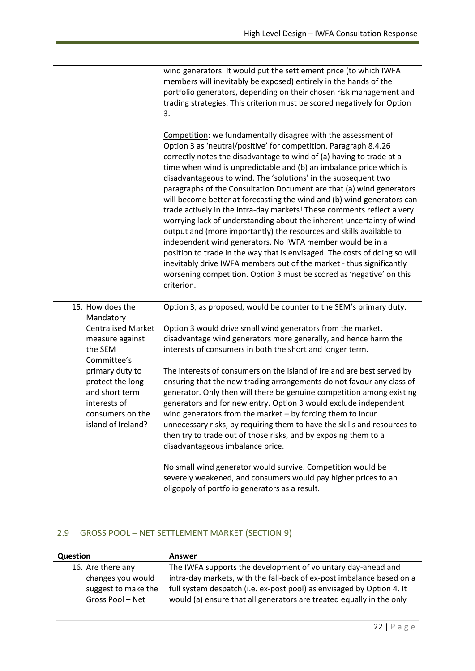|                                                                                                                 | wind generators. It would put the settlement price (to which IWFA<br>members will inevitably be exposed) entirely in the hands of the<br>portfolio generators, depending on their chosen risk management and<br>trading strategies. This criterion must be scored negatively for Option<br>3.                                                                                                                                                                                                                                                                                                                                                                                                                                                                                                                                                                                                                                                                                                                                           |
|-----------------------------------------------------------------------------------------------------------------|-----------------------------------------------------------------------------------------------------------------------------------------------------------------------------------------------------------------------------------------------------------------------------------------------------------------------------------------------------------------------------------------------------------------------------------------------------------------------------------------------------------------------------------------------------------------------------------------------------------------------------------------------------------------------------------------------------------------------------------------------------------------------------------------------------------------------------------------------------------------------------------------------------------------------------------------------------------------------------------------------------------------------------------------|
|                                                                                                                 | Competition: we fundamentally disagree with the assessment of<br>Option 3 as 'neutral/positive' for competition. Paragraph 8.4.26<br>correctly notes the disadvantage to wind of (a) having to trade at a<br>time when wind is unpredictable and (b) an imbalance price which is<br>disadvantageous to wind. The 'solutions' in the subsequent two<br>paragraphs of the Consultation Document are that (a) wind generators<br>will become better at forecasting the wind and (b) wind generators can<br>trade actively in the intra-day markets! These comments reflect a very<br>worrying lack of understanding about the inherent uncertainty of wind<br>output and (more importantly) the resources and skills available to<br>independent wind generators. No IWFA member would be in a<br>position to trade in the way that is envisaged. The costs of doing so will<br>inevitably drive IWFA members out of the market - thus significantly<br>worsening competition. Option 3 must be scored as 'negative' on this<br>criterion. |
| 15. How does the<br>Mandatory                                                                                   | Option 3, as proposed, would be counter to the SEM's primary duty.                                                                                                                                                                                                                                                                                                                                                                                                                                                                                                                                                                                                                                                                                                                                                                                                                                                                                                                                                                      |
| <b>Centralised Market</b><br>measure against<br>the SEM<br>Committee's                                          | Option 3 would drive small wind generators from the market,<br>disadvantage wind generators more generally, and hence harm the<br>interests of consumers in both the short and longer term.                                                                                                                                                                                                                                                                                                                                                                                                                                                                                                                                                                                                                                                                                                                                                                                                                                             |
| primary duty to<br>protect the long<br>and short term<br>interests of<br>consumers on the<br>island of Ireland? | The interests of consumers on the island of Ireland are best served by<br>ensuring that the new trading arrangements do not favour any class of<br>generator. Only then will there be genuine competition among existing<br>generators and for new entry. Option 3 would exclude independent<br>wind generators from the market $-$ by forcing them to incur<br>unnecessary risks, by requiring them to have the skills and resources to<br>then try to trade out of those risks, and by exposing them to a<br>disadvantageous imbalance price.                                                                                                                                                                                                                                                                                                                                                                                                                                                                                         |
|                                                                                                                 | No small wind generator would survive. Competition would be<br>severely weakened, and consumers would pay higher prices to an<br>oligopoly of portfolio generators as a result.                                                                                                                                                                                                                                                                                                                                                                                                                                                                                                                                                                                                                                                                                                                                                                                                                                                         |

### 2.9 GROSS POOL – NET SETTLEMENT MARKET (SECTION 9)

| <b>Question</b>     | <b>Answer</b>                                                         |
|---------------------|-----------------------------------------------------------------------|
| 16. Are there any   | The IWFA supports the development of voluntary day-ahead and          |
| changes you would   | intra-day markets, with the fall-back of ex-post imbalance based on a |
| suggest to make the | full system despatch (i.e. ex-post pool) as envisaged by Option 4. It |
| Gross Pool - Net    | would (a) ensure that all generators are treated equally in the only  |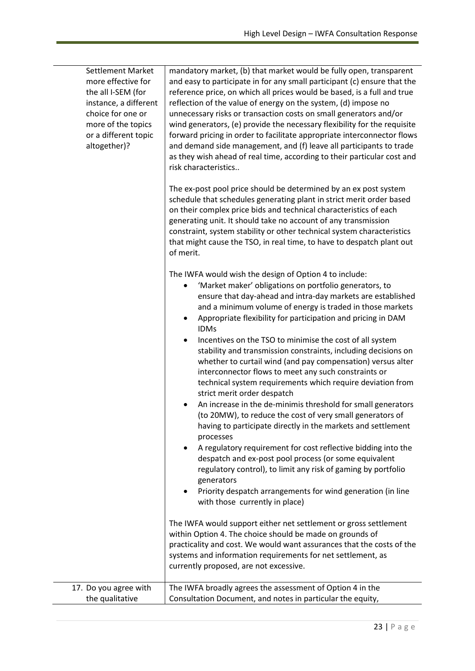| <b>Settlement Market</b><br>more effective for<br>the all I-SEM (for<br>instance, a different<br>choice for one or<br>more of the topics<br>or a different topic<br>altogether)? | mandatory market, (b) that market would be fully open, transparent<br>and easy to participate in for any small participant (c) ensure that the<br>reference price, on which all prices would be based, is a full and true<br>reflection of the value of energy on the system, (d) impose no<br>unnecessary risks or transaction costs on small generators and/or<br>wind generators, (e) provide the necessary flexibility for the requisite<br>forward pricing in order to facilitate appropriate interconnector flows<br>and demand side management, and (f) leave all participants to trade<br>as they wish ahead of real time, according to their particular cost and<br>risk characteristics |
|----------------------------------------------------------------------------------------------------------------------------------------------------------------------------------|---------------------------------------------------------------------------------------------------------------------------------------------------------------------------------------------------------------------------------------------------------------------------------------------------------------------------------------------------------------------------------------------------------------------------------------------------------------------------------------------------------------------------------------------------------------------------------------------------------------------------------------------------------------------------------------------------|
|                                                                                                                                                                                  | The ex-post pool price should be determined by an ex post system<br>schedule that schedules generating plant in strict merit order based<br>on their complex price bids and technical characteristics of each<br>generating unit. It should take no account of any transmission<br>constraint, system stability or other technical system characteristics<br>that might cause the TSO, in real time, to have to despatch plant out<br>of merit.                                                                                                                                                                                                                                                   |
|                                                                                                                                                                                  | The IWFA would wish the design of Option 4 to include:<br>'Market maker' obligations on portfolio generators, to<br>ensure that day-ahead and intra-day markets are established<br>and a minimum volume of energy is traded in those markets<br>Appropriate flexibility for participation and pricing in DAM<br>$\bullet$<br><b>IDMs</b>                                                                                                                                                                                                                                                                                                                                                          |
|                                                                                                                                                                                  | Incentives on the TSO to minimise the cost of all system<br>٠<br>stability and transmission constraints, including decisions on<br>whether to curtail wind (and pay compensation) versus alter<br>interconnector flows to meet any such constraints or<br>technical system requirements which require deviation from<br>strict merit order despatch                                                                                                                                                                                                                                                                                                                                               |
|                                                                                                                                                                                  | An increase in the de-minimis threshold for small generators<br>(to 20MW), to reduce the cost of very small generators of<br>having to participate directly in the markets and settlement<br>processes                                                                                                                                                                                                                                                                                                                                                                                                                                                                                            |
|                                                                                                                                                                                  | A regulatory requirement for cost reflective bidding into the<br>despatch and ex-post pool process (or some equivalent<br>regulatory control), to limit any risk of gaming by portfolio<br>generators                                                                                                                                                                                                                                                                                                                                                                                                                                                                                             |
|                                                                                                                                                                                  | Priority despatch arrangements for wind generation (in line<br>with those currently in place)                                                                                                                                                                                                                                                                                                                                                                                                                                                                                                                                                                                                     |
|                                                                                                                                                                                  | The IWFA would support either net settlement or gross settlement<br>within Option 4. The choice should be made on grounds of<br>practicality and cost. We would want assurances that the costs of the<br>systems and information requirements for net settlement, as<br>currently proposed, are not excessive.                                                                                                                                                                                                                                                                                                                                                                                    |
| 17. Do you agree with<br>the qualitative                                                                                                                                         | The IWFA broadly agrees the assessment of Option 4 in the<br>Consultation Document, and notes in particular the equity,                                                                                                                                                                                                                                                                                                                                                                                                                                                                                                                                                                           |

÷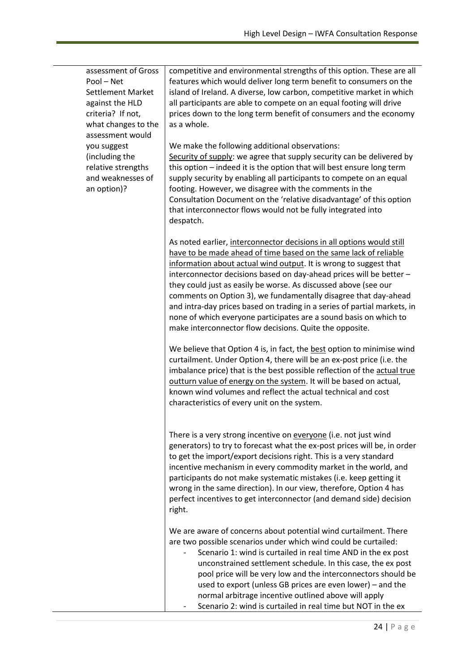| assessment of Gross<br>Pool - Net<br><b>Settlement Market</b><br>against the HLD<br>criteria? If not,<br>what changes to the<br>assessment would | competitive and environmental strengths of this option. These are all<br>features which would deliver long term benefit to consumers on the<br>island of Ireland. A diverse, low carbon, competitive market in which<br>all participants are able to compete on an equal footing will drive<br>prices down to the long term benefit of consumers and the economy<br>as a whole.                                                                                                                                                                                                                                                         |
|--------------------------------------------------------------------------------------------------------------------------------------------------|-----------------------------------------------------------------------------------------------------------------------------------------------------------------------------------------------------------------------------------------------------------------------------------------------------------------------------------------------------------------------------------------------------------------------------------------------------------------------------------------------------------------------------------------------------------------------------------------------------------------------------------------|
| you suggest<br>(including the<br>relative strengths<br>and weaknesses of<br>an option)?                                                          | We make the following additional observations:<br>Security of supply: we agree that supply security can be delivered by<br>this option - indeed it is the option that will best ensure long term<br>supply security by enabling all participants to compete on an equal<br>footing. However, we disagree with the comments in the<br>Consultation Document on the 'relative disadvantage' of this option<br>that interconnector flows would not be fully integrated into<br>despatch.                                                                                                                                                   |
|                                                                                                                                                  | As noted earlier, interconnector decisions in all options would still<br>have to be made ahead of time based on the same lack of reliable<br>information about actual wind output. It is wrong to suggest that<br>interconnector decisions based on day-ahead prices will be better -<br>they could just as easily be worse. As discussed above (see our<br>comments on Option 3), we fundamentally disagree that day-ahead<br>and intra-day prices based on trading in a series of partial markets, in<br>none of which everyone participates are a sound basis on which to<br>make interconnector flow decisions. Quite the opposite. |
|                                                                                                                                                  | We believe that Option 4 is, in fact, the best option to minimise wind<br>curtailment. Under Option 4, there will be an ex-post price (i.e. the<br>imbalance price) that is the best possible reflection of the actual true<br>outturn value of energy on the system. It will be based on actual,<br>known wind volumes and reflect the actual technical and cost<br>characteristics of every unit on the system.                                                                                                                                                                                                                       |
|                                                                                                                                                  | There is a very strong incentive on everyone (i.e. not just wind<br>generators) to try to forecast what the ex-post prices will be, in order<br>to get the import/export decisions right. This is a very standard<br>incentive mechanism in every commodity market in the world, and<br>participants do not make systematic mistakes (i.e. keep getting it<br>wrong in the same direction). In our view, therefore, Option 4 has<br>perfect incentives to get interconnector (and demand side) decision<br>right.                                                                                                                       |
|                                                                                                                                                  | We are aware of concerns about potential wind curtailment. There<br>are two possible scenarios under which wind could be curtailed:<br>Scenario 1: wind is curtailed in real time AND in the ex post<br>unconstrained settlement schedule. In this case, the ex post<br>pool price will be very low and the interconnectors should be<br>used to export (unless GB prices are even lower) – and the<br>normal arbitrage incentive outlined above will apply<br>Scenario 2: wind is curtailed in real time but NOT in the ex                                                                                                             |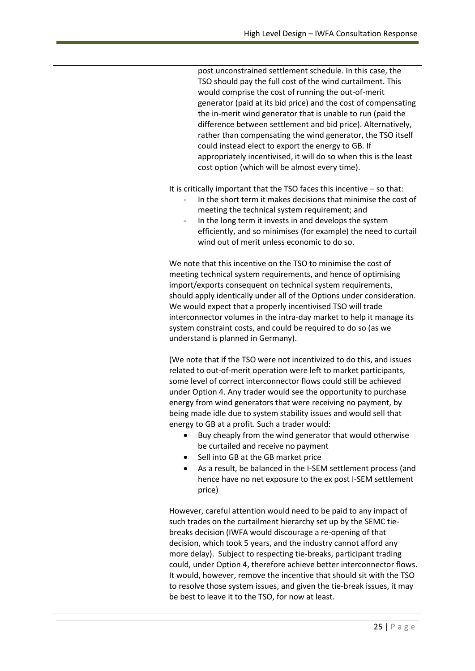| post unconstrained settlement schedule. In this case, the<br>TSO should pay the full cost of the wind curtailment. This<br>would comprise the cost of running the out-of-merit<br>generator (paid at its bid price) and the cost of compensating<br>the in-merit wind generator that is unable to run (paid the<br>difference between settlement and bid price). Alternatively,<br>rather than compensating the wind generator, the TSO itself<br>could instead elect to export the energy to GB. If<br>appropriately incentivised, it will do so when this is the least<br>cost option (which will be almost every time).                                                                                                                                                                    |
|-----------------------------------------------------------------------------------------------------------------------------------------------------------------------------------------------------------------------------------------------------------------------------------------------------------------------------------------------------------------------------------------------------------------------------------------------------------------------------------------------------------------------------------------------------------------------------------------------------------------------------------------------------------------------------------------------------------------------------------------------------------------------------------------------|
| It is critically important that the TSO faces this incentive $-$ so that:<br>In the short term it makes decisions that minimise the cost of<br>meeting the technical system requirement; and<br>In the long term it invests in and develops the system<br>efficiently, and so minimises (for example) the need to curtail<br>wind out of merit unless economic to do so.                                                                                                                                                                                                                                                                                                                                                                                                                      |
| We note that this incentive on the TSO to minimise the cost of<br>meeting technical system requirements, and hence of optimising<br>import/exports consequent on technical system requirements,<br>should apply identically under all of the Options under consideration.<br>We would expect that a properly incentivised TSO will trade<br>interconnector volumes in the intra-day market to help it manage its<br>system constraint costs, and could be required to do so (as we<br>understand is planned in Germany).                                                                                                                                                                                                                                                                      |
| (We note that if the TSO were not incentivized to do this, and issues<br>related to out-of-merit operation were left to market participants,<br>some level of correct interconnector flows could still be achieved<br>under Option 4. Any trader would see the opportunity to purchase<br>energy from wind generators that were receiving no payment, by<br>being made idle due to system stability issues and would sell that<br>energy to GB at a profit. Such a trader would:<br>Buy cheaply from the wind generator that would otherwise<br>be curtailed and receive no payment<br>Sell into GB at the GB market price<br>$\bullet$<br>As a result, be balanced in the I-SEM settlement process (and<br>$\bullet$<br>hence have no net exposure to the ex post I-SEM settlement<br>price) |
| However, careful attention would need to be paid to any impact of<br>such trades on the curtailment hierarchy set up by the SEMC tie-<br>breaks decision (IWFA would discourage a re-opening of that<br>decision, which took 5 years, and the industry cannot afford any<br>more delay). Subject to respecting tie-breaks, participant trading<br>could, under Option 4, therefore achieve better interconnector flows.<br>It would, however, remove the incentive that should sit with the TSO<br>to resolve those system issues, and given the tie-break issues, it may<br>be best to leave it to the TSO, for now at least.                                                                                                                                                                |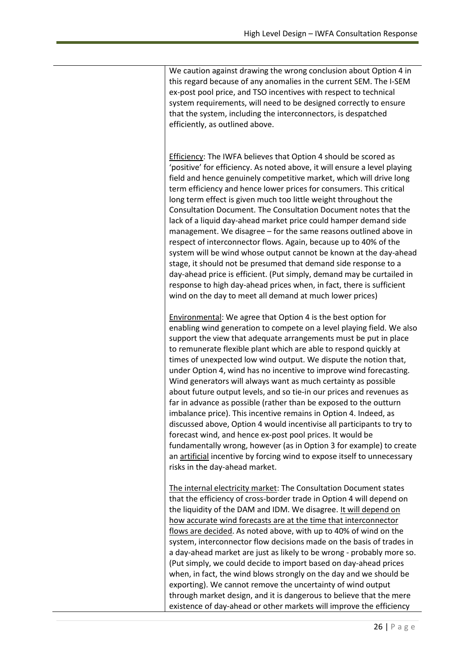We caution against drawing the wrong conclusion about Option 4 in this regard because of any anomalies in the current SEM. The I-SEM ex-post pool price, and TSO incentives with respect to technical system requirements, will need to be designed correctly to ensure that the system, including the interconnectors, is despatched efficiently, as outlined above.

Efficiency: The IWFA believes that Option 4 should be scored as 'positive' for efficiency. As noted above, it will ensure a level playing field and hence genuinely competitive market, which will drive long term efficiency and hence lower prices for consumers. This critical long term effect is given much too little weight throughout the Consultation Document. The Consultation Document notes that the lack of a liquid day-ahead market price could hamper demand side management. We disagree – for the same reasons outlined above in respect of interconnector flows. Again, because up to 40% of the system will be wind whose output cannot be known at the day-ahead stage, it should not be presumed that demand side response to a day-ahead price is efficient. (Put simply, demand may be curtailed in response to high day-ahead prices when, in fact, there is sufficient wind on the day to meet all demand at much lower prices)

Environmental: We agree that Option 4 is the best option for enabling wind generation to compete on a level playing field. We also support the view that adequate arrangements must be put in place to remunerate flexible plant which are able to respond quickly at times of unexpected low wind output. We dispute the notion that, under Option 4, wind has no incentive to improve wind forecasting. Wind generators will always want as much certainty as possible about future output levels, and so tie-in our prices and revenues as far in advance as possible (rather than be exposed to the outturn imbalance price). This incentive remains in Option 4. Indeed, as discussed above, Option 4 would incentivise all participants to try to forecast wind, and hence ex-post pool prices. It would be fundamentally wrong, however (as in Option 3 for example) to create an artificial incentive by forcing wind to expose itself to unnecessary risks in the day-ahead market.

The internal electricity market: The Consultation Document states that the efficiency of cross-border trade in Option 4 will depend on the liquidity of the DAM and IDM. We disagree. It will depend on how accurate wind forecasts are at the time that interconnector flows are decided. As noted above, with up to 40% of wind on the system, interconnector flow decisions made on the basis of trades in a day-ahead market are just as likely to be wrong - probably more so. (Put simply, we could decide to import based on day-ahead prices when, in fact, the wind blows strongly on the day and we should be exporting). We cannot remove the uncertainty of wind output through market design, and it is dangerous to believe that the mere existence of day-ahead or other markets will improve the efficiency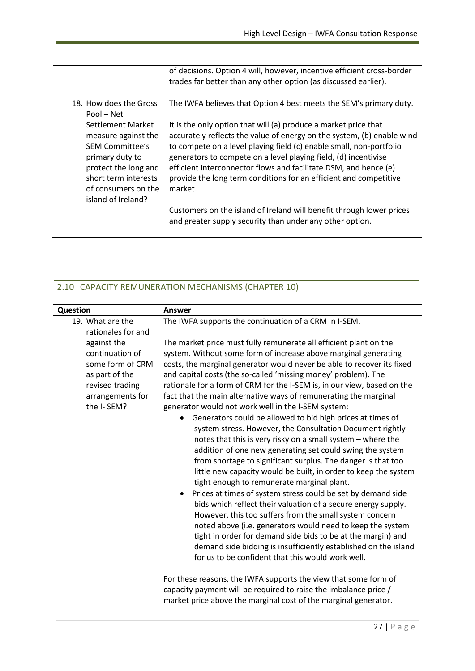|                                                                                                                                                                             | of decisions. Option 4 will, however, incentive efficient cross-border<br>trades far better than any other option (as discussed earlier).                                                                                                                                                                                                                                                                                               |
|-----------------------------------------------------------------------------------------------------------------------------------------------------------------------------|-----------------------------------------------------------------------------------------------------------------------------------------------------------------------------------------------------------------------------------------------------------------------------------------------------------------------------------------------------------------------------------------------------------------------------------------|
| 18. How does the Gross<br>Pool – Net                                                                                                                                        | The IWFA believes that Option 4 best meets the SEM's primary duty.                                                                                                                                                                                                                                                                                                                                                                      |
| Settlement Market<br>measure against the<br>SEM Committee's<br>primary duty to<br>protect the long and<br>short term interests<br>of consumers on the<br>island of Ireland? | It is the only option that will (a) produce a market price that<br>accurately reflects the value of energy on the system, (b) enable wind<br>to compete on a level playing field (c) enable small, non-portfolio<br>generators to compete on a level playing field, (d) incentivise<br>efficient interconnector flows and facilitate DSM, and hence (e)<br>provide the long term conditions for an efficient and competitive<br>market. |
|                                                                                                                                                                             | Customers on the island of Ireland will benefit through lower prices<br>and greater supply security than under any other option.                                                                                                                                                                                                                                                                                                        |

# 2.10 CAPACITY REMUNERATION MECHANISMS (CHAPTER 10)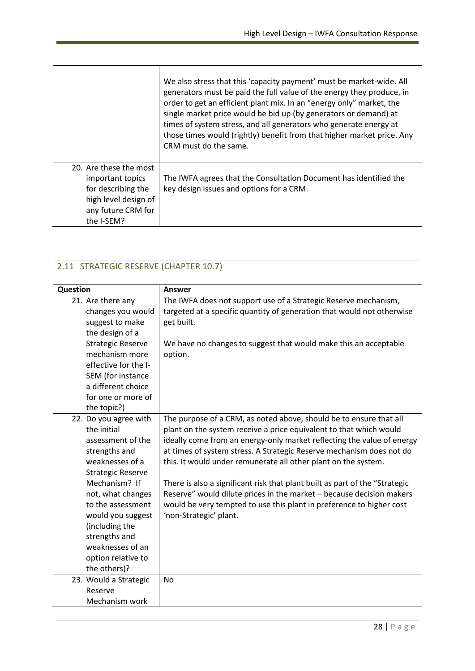|                                                                  | We also stress that this 'capacity payment' must be market-wide. All<br>generators must be paid the full value of the energy they produce, in<br>order to get an efficient plant mix. In an "energy only" market, the<br>single market price would be bid up (by generators or demand) at<br>times of system stress, and all generators who generate energy at<br>those times would (rightly) benefit from that higher market price. Any<br>CRM must do the same. |
|------------------------------------------------------------------|-------------------------------------------------------------------------------------------------------------------------------------------------------------------------------------------------------------------------------------------------------------------------------------------------------------------------------------------------------------------------------------------------------------------------------------------------------------------|
| 20. Are these the most<br>important topics<br>for describing the | The IWFA agrees that the Consultation Document has identified the<br>key design issues and options for a CRM.                                                                                                                                                                                                                                                                                                                                                     |
| high level design of<br>any future CRM for<br>the I-SEM?         |                                                                                                                                                                                                                                                                                                                                                                                                                                                                   |

### 2.11 STRATEGIC RESERVE (CHAPTER 10.7)

| Question |                                            | Answer                                                                                                                                              |
|----------|--------------------------------------------|-----------------------------------------------------------------------------------------------------------------------------------------------------|
|          | 21. Are there any<br>changes you would     | The IWFA does not support use of a Strategic Reserve mechanism,<br>targeted at a specific quantity of generation that would not otherwise           |
|          | suggest to make                            | get built.                                                                                                                                          |
|          | the design of a                            |                                                                                                                                                     |
|          | <b>Strategic Reserve</b><br>mechanism more | We have no changes to suggest that would make this an acceptable                                                                                    |
|          | effective for the I-                       | option.                                                                                                                                             |
|          | SEM (for instance                          |                                                                                                                                                     |
|          | a different choice                         |                                                                                                                                                     |
|          | for one or more of                         |                                                                                                                                                     |
|          | the topic?)                                |                                                                                                                                                     |
|          | 22. Do you agree with                      | The purpose of a CRM, as noted above, should be to ensure that all                                                                                  |
|          | the initial                                | plant on the system receive a price equivalent to that which would                                                                                  |
|          | assessment of the                          | ideally come from an energy-only market reflecting the value of energy                                                                              |
|          | strengths and                              | at times of system stress. A Strategic Reserve mechanism does not do                                                                                |
|          | weaknesses of a                            | this. It would under remunerate all other plant on the system.                                                                                      |
|          | <b>Strategic Reserve</b><br>Mechanism? If  |                                                                                                                                                     |
|          | not, what changes                          | There is also a significant risk that plant built as part of the "Strategic<br>Reserve" would dilute prices in the market - because decision makers |
|          | to the assessment                          | would be very tempted to use this plant in preference to higher cost                                                                                |
|          | would you suggest                          | 'non-Strategic' plant.                                                                                                                              |
|          | (including the                             |                                                                                                                                                     |
|          | strengths and                              |                                                                                                                                                     |
|          | weaknesses of an                           |                                                                                                                                                     |
|          | option relative to                         |                                                                                                                                                     |
|          | the others)?                               |                                                                                                                                                     |
|          | 23. Would a Strategic                      | <b>No</b>                                                                                                                                           |
|          | Reserve                                    |                                                                                                                                                     |
|          | Mechanism work                             |                                                                                                                                                     |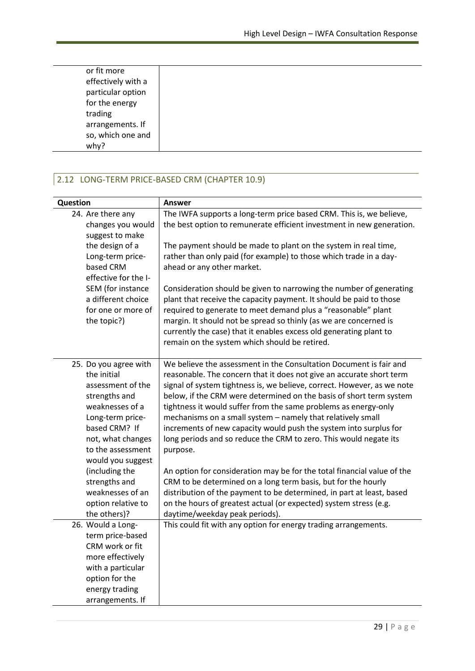| or fit more        |
|--------------------|
|                    |
| effectively with a |
| particular option  |
|                    |
| for the energy     |
| trading            |
|                    |
| arrangements. If   |
| so, which one and  |
| why?               |
|                    |

#### 2.12 LONG-TERM PRICE-BASED CRM (CHAPTER 10.9)

| Question                                                                                                                                                                                          | <b>Answer</b>                                                                                                                                                                                                                                                                                                                                                                                                                                                                                                                                                                        |
|---------------------------------------------------------------------------------------------------------------------------------------------------------------------------------------------------|--------------------------------------------------------------------------------------------------------------------------------------------------------------------------------------------------------------------------------------------------------------------------------------------------------------------------------------------------------------------------------------------------------------------------------------------------------------------------------------------------------------------------------------------------------------------------------------|
| 24. Are there any<br>changes you would<br>suggest to make<br>the design of a<br>Long-term price-                                                                                                  | The IWFA supports a long-term price based CRM. This is, we believe,<br>the best option to remunerate efficient investment in new generation.<br>The payment should be made to plant on the system in real time,<br>rather than only paid (for example) to those which trade in a day-                                                                                                                                                                                                                                                                                                |
| based CRM<br>effective for the I-<br>SEM (for instance<br>a different choice<br>for one or more of<br>the topic?)                                                                                 | ahead or any other market.<br>Consideration should be given to narrowing the number of generating<br>plant that receive the capacity payment. It should be paid to those<br>required to generate to meet demand plus a "reasonable" plant<br>margin. It should not be spread so thinly (as we are concerned is<br>currently the case) that it enables excess old generating plant to<br>remain on the system which should be retired.                                                                                                                                                |
| 25. Do you agree with<br>the initial<br>assessment of the<br>strengths and<br>weaknesses of a<br>Long-term price-<br>based CRM? If<br>not, what changes<br>to the assessment<br>would you suggest | We believe the assessment in the Consultation Document is fair and<br>reasonable. The concern that it does not give an accurate short term<br>signal of system tightness is, we believe, correct. However, as we note<br>below, if the CRM were determined on the basis of short term system<br>tightness it would suffer from the same problems as energy-only<br>mechanisms on a small system - namely that relatively small<br>increments of new capacity would push the system into surplus for<br>long periods and so reduce the CRM to zero. This would negate its<br>purpose. |
| (including the<br>strengths and<br>weaknesses of an<br>option relative to<br>the others)?                                                                                                         | An option for consideration may be for the total financial value of the<br>CRM to be determined on a long term basis, but for the hourly<br>distribution of the payment to be determined, in part at least, based<br>on the hours of greatest actual (or expected) system stress (e.g.<br>daytime/weekday peak periods).                                                                                                                                                                                                                                                             |
| 26. Would a Long-<br>term price-based<br>CRM work or fit<br>more effectively<br>with a particular<br>option for the<br>energy trading<br>arrangements. If                                         | This could fit with any option for energy trading arrangements.                                                                                                                                                                                                                                                                                                                                                                                                                                                                                                                      |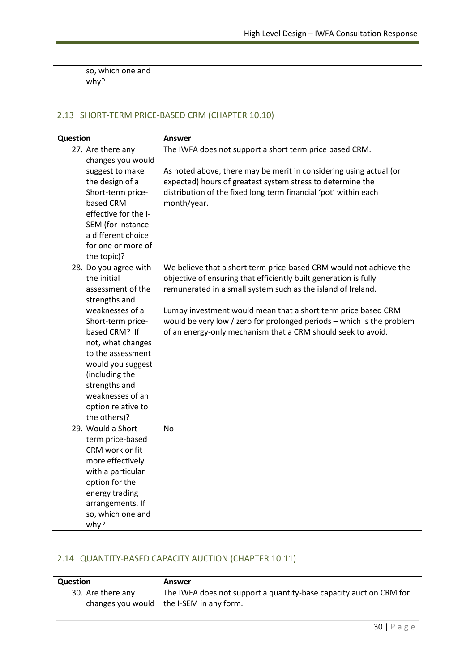so, which one and why?

#### 2.13 SHORT-TERM PRICE-BASED CRM (CHAPTER 10.10)

| Question              | <b>Answer</b>                                                         |
|-----------------------|-----------------------------------------------------------------------|
| 27. Are there any     | The IWFA does not support a short term price based CRM.               |
| changes you would     |                                                                       |
| suggest to make       | As noted above, there may be merit in considering using actual (or    |
| the design of a       | expected) hours of greatest system stress to determine the            |
| Short-term price-     | distribution of the fixed long term financial 'pot' within each       |
| based CRM             | month/year.                                                           |
| effective for the I-  |                                                                       |
| SEM (for instance     |                                                                       |
| a different choice    |                                                                       |
| for one or more of    |                                                                       |
| the topic)?           |                                                                       |
| 28. Do you agree with | We believe that a short term price-based CRM would not achieve the    |
| the initial           | objective of ensuring that efficiently built generation is fully      |
| assessment of the     | remunerated in a small system such as the island of Ireland.          |
| strengths and         |                                                                       |
| weaknesses of a       | Lumpy investment would mean that a short term price based CRM         |
| Short-term price-     | would be very low / zero for prolonged periods - which is the problem |
| based CRM? If         | of an energy-only mechanism that a CRM should seek to avoid.          |
| not, what changes     |                                                                       |
| to the assessment     |                                                                       |
| would you suggest     |                                                                       |
| (including the        |                                                                       |
| strengths and         |                                                                       |
| weaknesses of an      |                                                                       |
| option relative to    |                                                                       |
| the others)?          |                                                                       |
| 29. Would a Short-    | <b>No</b>                                                             |
| term price-based      |                                                                       |
| CRM work or fit       |                                                                       |
| more effectively      |                                                                       |
| with a particular     |                                                                       |
| option for the        |                                                                       |
| energy trading        |                                                                       |
| arrangements. If      |                                                                       |
| so, which one and     |                                                                       |
| why?                  |                                                                       |

#### 2.14 QUANTITY-BASED CAPACITY AUCTION (CHAPTER 10.11)

| <b>Question</b>   | Answer                                                             |
|-------------------|--------------------------------------------------------------------|
| 30. Are there any | The IWFA does not support a quantity-base capacity auction CRM for |
|                   | changes you would $ $ the I-SEM in any form.                       |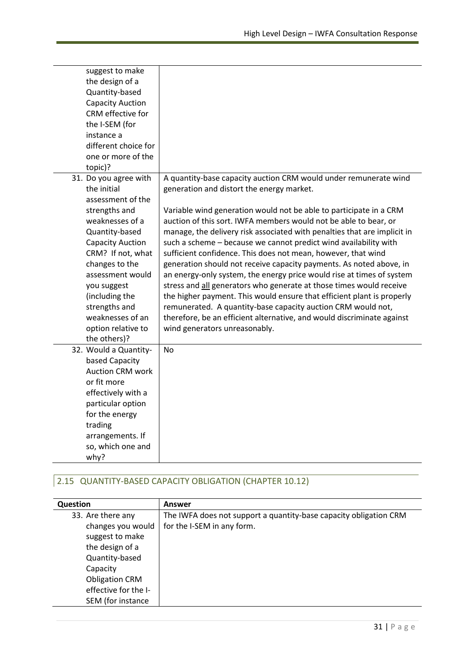| suggest to make<br>the design of a<br>Quantity-based<br><b>Capacity Auction</b><br>CRM effective for<br>the I-SEM (for<br>instance a<br>different choice for<br>one or more of the<br>topic)?                                                                                                                     |                                                                                                                                                                                                                                                                                                                                                                                                                                                                                                                                                                                                                                                                                                                                                                                                                                                                                                                                                      |
|-------------------------------------------------------------------------------------------------------------------------------------------------------------------------------------------------------------------------------------------------------------------------------------------------------------------|------------------------------------------------------------------------------------------------------------------------------------------------------------------------------------------------------------------------------------------------------------------------------------------------------------------------------------------------------------------------------------------------------------------------------------------------------------------------------------------------------------------------------------------------------------------------------------------------------------------------------------------------------------------------------------------------------------------------------------------------------------------------------------------------------------------------------------------------------------------------------------------------------------------------------------------------------|
| 31. Do you agree with<br>the initial<br>assessment of the<br>strengths and<br>weaknesses of a<br>Quantity-based<br><b>Capacity Auction</b><br>CRM? If not, what<br>changes to the<br>assessment would<br>you suggest<br>(including the<br>strengths and<br>weaknesses of an<br>option relative to<br>the others)? | A quantity-base capacity auction CRM would under remunerate wind<br>generation and distort the energy market.<br>Variable wind generation would not be able to participate in a CRM<br>auction of this sort. IWFA members would not be able to bear, or<br>manage, the delivery risk associated with penalties that are implicit in<br>such a scheme - because we cannot predict wind availability with<br>sufficient confidence. This does not mean, however, that wind<br>generation should not receive capacity payments. As noted above, in<br>an energy-only system, the energy price would rise at times of system<br>stress and all generators who generate at those times would receive<br>the higher payment. This would ensure that efficient plant is properly<br>remunerated. A quantity-base capacity auction CRM would not,<br>therefore, be an efficient alternative, and would discriminate against<br>wind generators unreasonably. |
| 32. Would a Quantity-<br>based Capacity<br><b>Auction CRM work</b><br>or fit more<br>effectively with a<br>particular option<br>for the energy<br>trading<br>arrangements. If<br>so, which one and<br>why?                                                                                                        | <b>No</b>                                                                                                                                                                                                                                                                                                                                                                                                                                                                                                                                                                                                                                                                                                                                                                                                                                                                                                                                            |

# 2.15 QUANTITY-BASED CAPACITY OBLIGATION (CHAPTER 10.12)

| <b>Question</b>       | Answer                                                            |
|-----------------------|-------------------------------------------------------------------|
| 33. Are there any     | The IWFA does not support a quantity-base capacity obligation CRM |
| changes you would     | for the I-SEM in any form.                                        |
| suggest to make       |                                                                   |
| the design of a       |                                                                   |
| Quantity-based        |                                                                   |
| Capacity              |                                                                   |
| <b>Obligation CRM</b> |                                                                   |
| effective for the I-  |                                                                   |
| SEM (for instance     |                                                                   |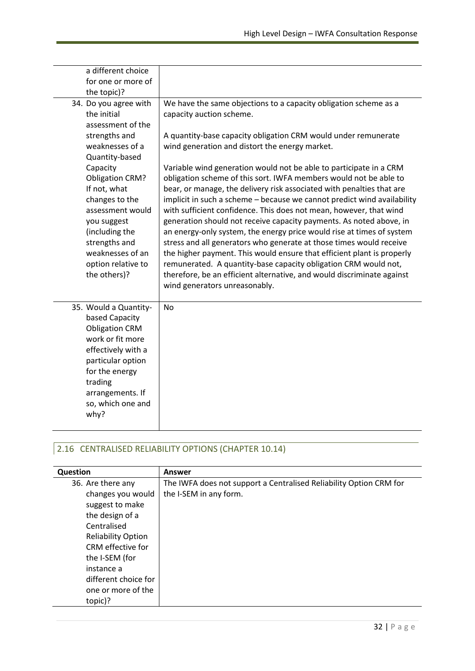| a different choice                                                                                                                                                                                                                                                                |                                                                                                                                                                                                                                                                                                                                                                                                                                                                                                                                                                                                                                                                                                                                                                                                                                                                                        |
|-----------------------------------------------------------------------------------------------------------------------------------------------------------------------------------------------------------------------------------------------------------------------------------|----------------------------------------------------------------------------------------------------------------------------------------------------------------------------------------------------------------------------------------------------------------------------------------------------------------------------------------------------------------------------------------------------------------------------------------------------------------------------------------------------------------------------------------------------------------------------------------------------------------------------------------------------------------------------------------------------------------------------------------------------------------------------------------------------------------------------------------------------------------------------------------|
| for one or more of                                                                                                                                                                                                                                                                |                                                                                                                                                                                                                                                                                                                                                                                                                                                                                                                                                                                                                                                                                                                                                                                                                                                                                        |
| the topic)?                                                                                                                                                                                                                                                                       |                                                                                                                                                                                                                                                                                                                                                                                                                                                                                                                                                                                                                                                                                                                                                                                                                                                                                        |
| 34. Do you agree with<br>the initial<br>assessment of the<br>strengths and<br>weaknesses of a<br>Quantity-based<br>Capacity<br><b>Obligation CRM?</b><br>If not, what<br>changes to the<br>assessment would<br>you suggest<br>(including the<br>strengths and<br>weaknesses of an | We have the same objections to a capacity obligation scheme as a<br>capacity auction scheme.<br>A quantity-base capacity obligation CRM would under remunerate<br>wind generation and distort the energy market.<br>Variable wind generation would not be able to participate in a CRM<br>obligation scheme of this sort. IWFA members would not be able to<br>bear, or manage, the delivery risk associated with penalties that are<br>implicit in such a scheme - because we cannot predict wind availability<br>with sufficient confidence. This does not mean, however, that wind<br>generation should not receive capacity payments. As noted above, in<br>an energy-only system, the energy price would rise at times of system<br>stress and all generators who generate at those times would receive<br>the higher payment. This would ensure that efficient plant is properly |
| option relative to<br>the others)?                                                                                                                                                                                                                                                | remunerated. A quantity-base capacity obligation CRM would not,<br>therefore, be an efficient alternative, and would discriminate against<br>wind generators unreasonably.                                                                                                                                                                                                                                                                                                                                                                                                                                                                                                                                                                                                                                                                                                             |
| 35. Would a Quantity-<br>based Capacity<br><b>Obligation CRM</b><br>work or fit more<br>effectively with a<br>particular option<br>for the energy<br>trading<br>arrangements. If<br>so, which one and<br>why?                                                                     | <b>No</b>                                                                                                                                                                                                                                                                                                                                                                                                                                                                                                                                                                                                                                                                                                                                                                                                                                                                              |

### 2.16 CENTRALISED RELIABILITY OPTIONS (CHAPTER 10.14)

| Question                  | Answer                                                             |
|---------------------------|--------------------------------------------------------------------|
| 36. Are there any         | The IWFA does not support a Centralised Reliability Option CRM for |
| changes you would         | the I-SEM in any form.                                             |
| suggest to make           |                                                                    |
| the design of a           |                                                                    |
| Centralised               |                                                                    |
| <b>Reliability Option</b> |                                                                    |
| CRM effective for         |                                                                    |
| the I-SEM (for            |                                                                    |
| instance a                |                                                                    |
| different choice for      |                                                                    |
| one or more of the        |                                                                    |
| topic)?                   |                                                                    |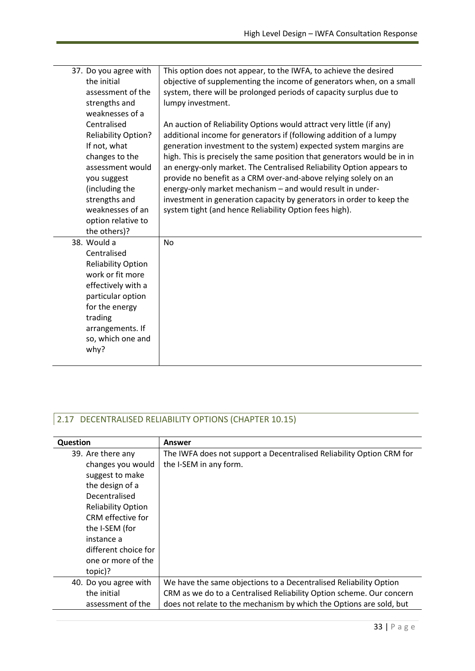| 37. Do you agree with<br>the initial<br>assessment of the<br>strengths and<br>weaknesses of a                                                                                                        | This option does not appear, to the IWFA, to achieve the desired<br>objective of supplementing the income of generators when, on a small<br>system, there will be prolonged periods of capacity surplus due to<br>lumpy investment.                                                                                                                                |
|------------------------------------------------------------------------------------------------------------------------------------------------------------------------------------------------------|--------------------------------------------------------------------------------------------------------------------------------------------------------------------------------------------------------------------------------------------------------------------------------------------------------------------------------------------------------------------|
| Centralised<br><b>Reliability Option?</b><br>If not, what<br>changes to the<br>assessment would                                                                                                      | An auction of Reliability Options would attract very little (if any)<br>additional income for generators if (following addition of a lumpy<br>generation investment to the system) expected system margins are<br>high. This is precisely the same position that generators would be in in<br>an energy-only market. The Centralised Reliability Option appears to |
| you suggest<br>(including the<br>strengths and<br>weaknesses of an<br>option relative to<br>the others)?                                                                                             | provide no benefit as a CRM over-and-above relying solely on an<br>energy-only market mechanism - and would result in under-<br>investment in generation capacity by generators in order to keep the<br>system tight (and hence Reliability Option fees high).                                                                                                     |
| 38. Would a<br>Centralised<br><b>Reliability Option</b><br>work or fit more<br>effectively with a<br>particular option<br>for the energy<br>trading<br>arrangements. If<br>so, which one and<br>why? | No                                                                                                                                                                                                                                                                                                                                                                 |

# 2.17 DECENTRALISED RELIABILITY OPTIONS (CHAPTER 10.15)

| Question                  | Answer                                                               |
|---------------------------|----------------------------------------------------------------------|
| 39. Are there any         | The IWFA does not support a Decentralised Reliability Option CRM for |
| changes you would         | the I-SEM in any form.                                               |
| suggest to make           |                                                                      |
| the design of a           |                                                                      |
| Decentralised             |                                                                      |
| <b>Reliability Option</b> |                                                                      |
| CRM effective for         |                                                                      |
| the I-SEM (for            |                                                                      |
| instance a                |                                                                      |
| different choice for      |                                                                      |
| one or more of the        |                                                                      |
| topic)?                   |                                                                      |
| 40. Do you agree with     | We have the same objections to a Decentralised Reliability Option    |
| the initial               | CRM as we do to a Centralised Reliability Option scheme. Our concern |
| assessment of the         | does not relate to the mechanism by which the Options are sold, but  |
|                           |                                                                      |